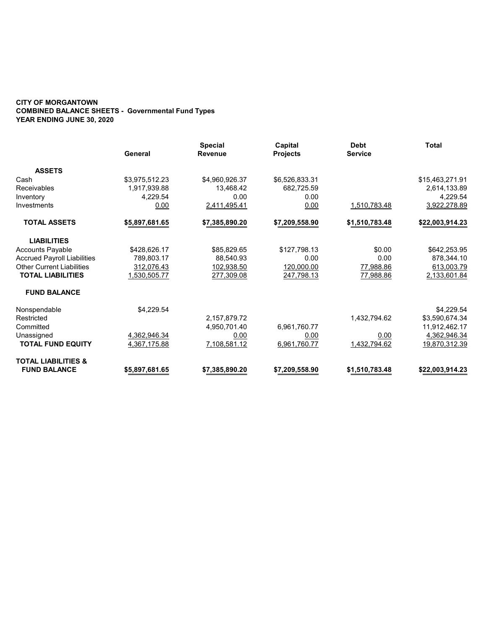#### CITY OF MORGANTOWN COMBINED BALANCE SHEETS - Governmental Fund Types YEAR ENDING JUNE 30, 2020

|                                    | General        | <b>Special</b><br><b>Revenue</b> | Capital<br><b>Projects</b> | <b>Debt</b><br><b>Service</b> | <b>Total</b>    |
|------------------------------------|----------------|----------------------------------|----------------------------|-------------------------------|-----------------|
| <b>ASSETS</b>                      |                |                                  |                            |                               |                 |
| Cash                               | \$3,975,512.23 | \$4,960,926.37                   | \$6,526,833.31             |                               | \$15,463,271.91 |
| Receivables                        | 1,917,939.88   | 13,468.42                        | 682,725.59                 |                               | 2,614,133.89    |
| Inventory                          | 4,229.54       | 0.00                             | 0.00                       |                               | 4,229.54        |
| Investments                        | 0.00           | 2,411,495.41                     | 0.00                       | 1,510,783.48                  | 3,922,278.89    |
| <b>TOTAL ASSETS</b>                | \$5,897,681.65 | \$7,385,890.20                   | \$7,209,558.90             | \$1,510,783.48                | \$22,003,914.23 |
| <b>LIABILITIES</b>                 |                |                                  |                            |                               |                 |
| <b>Accounts Payable</b>            | \$428,626.17   | \$85,829.65                      | \$127,798.13               | \$0.00                        | \$642,253.95    |
| <b>Accrued Payroll Liabilities</b> | 789,803.17     | 88,540.93                        | 0.00                       | 0.00                          | 878,344.10      |
| <b>Other Current Liabilities</b>   | 312,076.43     | 102,938.50                       | 120,000.00                 | 77,988.86                     | 613,003.79      |
| <b>TOTAL LIABILITIES</b>           | 1,530,505.77   | 277,309.08                       | 247,798.13                 | <u>77,988.86</u>              | 2,133,601.84    |
| <b>FUND BALANCE</b>                |                |                                  |                            |                               |                 |
| Nonspendable                       | \$4,229.54     |                                  |                            |                               | \$4,229.54      |
| Restricted                         |                | 2,157,879.72                     |                            | 1,432,794.62                  | \$3,590,674.34  |
| Committed                          |                | 4,950,701.40                     | 6,961,760.77               |                               | 11,912,462.17   |
| Unassigned                         | 4,362,946.34   | 0.00                             | 0.00                       | 0.00                          | 4,362,946.34    |
| <b>TOTAL FUND EQUITY</b>           | 4,367,175.88   | 7,108,581.12                     | 6,961,760.77               | 1,432,794.62                  | 19,870,312.39   |
| <b>TOTAL LIABILITIES &amp;</b>     |                |                                  |                            |                               |                 |
| <b>FUND BALANCE</b>                | \$5,897,681.65 | \$7,385,890.20                   | \$7,209,558.90             | \$1,510,783.48                | \$22,003,914.23 |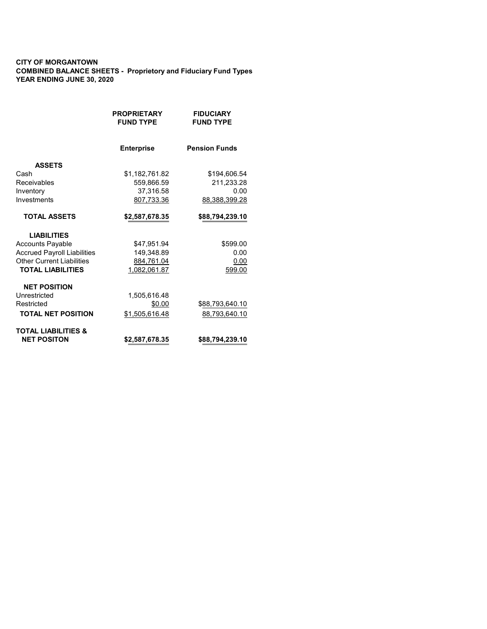#### CITY OF MORGANTOWN COMBINED BALANCE SHEETS - Proprietory and Fiduciary Fund Types YEAR ENDING JUNE 30, 2020

|                                    | <b>PROPRIETARY</b><br><b>FUND TYPE</b> | <b>FIDUCIARY</b><br><b>FUND TYPE</b> |
|------------------------------------|----------------------------------------|--------------------------------------|
|                                    | <b>Enterprise</b>                      | <b>Pension Funds</b>                 |
| <b>ASSETS</b>                      |                                        |                                      |
| Cash                               | \$1,182,761.82                         | \$194,606.54                         |
| Receivables                        | 559,866.59                             | 211,233.28                           |
| Inventory                          | 37,316.58                              | 0.00                                 |
| Investments                        | 807,733.36                             | 88,388,399.28                        |
| <b>TOTAL ASSETS</b>                | \$2,587,678.35                         | \$88,794,239.10                      |
| <b>LIABILITIES</b>                 |                                        |                                      |
| <b>Accounts Payable</b>            | \$47,951.94                            | \$599.00                             |
| <b>Accrued Payroll Liabilities</b> | 149.348.89                             | 0.00                                 |
| <b>Other Current Liabilities</b>   | 884,761.04                             | 0.00                                 |
| <b>TOTAL LIABILITIES</b>           | 1,082,061.87                           | 599.00                               |
| <b>NET POSITION</b>                |                                        |                                      |
| Unrestricted                       | 1,505,616.48                           |                                      |
| Restricted                         | \$0.00                                 | \$88,793,640.10                      |
| <b>TOTAL NET POSITION</b>          | \$1,505,616.48                         | 88,793,640.10                        |
| <b>TOTAL LIABILITIES &amp;</b>     |                                        |                                      |
| <b>NET POSITON</b>                 | \$2,587,678.35                         | \$88,794,239.10                      |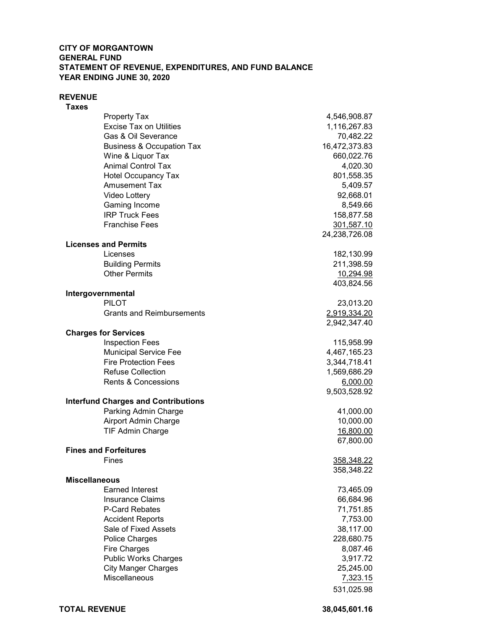### CITY OF MORGANTOWN GENERAL FUND STATEMENT OF REVENUE, EXPENDITURES, AND FUND BALANCE YEAR ENDING JUNE 30, 2020

#### REVENUE

 Taxes Property Tax 4,546,908.87 Excise Tax on Utilities 1,116,267.83 Gas & Oil Severance 70,482.22 Business & Occupation Tax 16,472,373.83 Wine & Liquor Tax 660,022.76 Animal Control Tax 4,020.30 Hotel Occupancy Tax 801,558.35 Amusement Tax 5,409.57 Video Lottery 92,668.01 Gaming Income 8,549.66 IRP Truck Fees 158,877.58 Franchise Fees 301,587.10 24,238,726.08 Licenses and Permits Licenses 182,130.99 Building Permits 211,398.59 Other Permits 10,294.98 403,824.56 Intergovernmental PILOT 23,013.20 Grants and Reimbursements 2,919,334.20 2,942,347.40 Charges for Services Inspection Fees 2012 2022 115,958.99 Municipal Service Fee 4,467,165.23 Fire Protection Fees 3,344,718.41 Refuse Collection 2008 1,569,686.29 Rents & Concessions 6,000.00 9,503,528.92 Interfund Charges and Contributions Parking Admin Charge 41,000.00 Airport Admin Charge 10,000.00 TIF Admin Charge 16,800.00 67,800.00 Fines and Forfeitures Fines 358,348.22 358,348.22 Miscellaneous Earned Interest 73,465.09 Insurance Claims 66,684.96 P-Card Rebates 71,751.85 Accident Reports 7,753.00 Sale of Fixed Assets 38,117.00 Police Charges 228,680.75 Fire Charges 8,087.46 Public Works Charges 3,917.72 City Manger Charges 25,245.00 Miscellaneous 7,323.15

531,025.98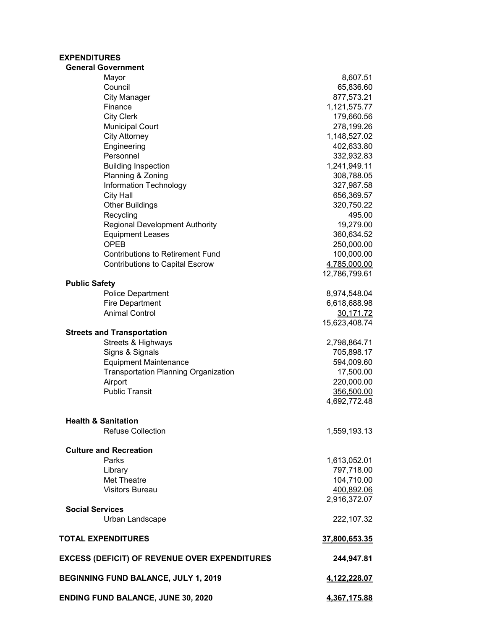# EXPENDITURES

| <b>General Government</b>                            |               |
|------------------------------------------------------|---------------|
| Mayor                                                | 8,607.51      |
| Council                                              | 65,836.60     |
| <b>City Manager</b>                                  | 877,573.21    |
| Finance                                              | 1,121,575.77  |
| <b>City Clerk</b>                                    | 179,660.56    |
| <b>Municipal Court</b>                               | 278,199.26    |
| <b>City Attorney</b>                                 | 1,148,527.02  |
| Engineering                                          | 402,633.80    |
| Personnel                                            | 332,932.83    |
| <b>Building Inspection</b>                           | 1,241,949.11  |
| Planning & Zoning                                    | 308,788.05    |
| Information Technology                               | 327,987.58    |
| <b>City Hall</b>                                     | 656,369.57    |
| <b>Other Buildings</b>                               | 320,750.22    |
| Recycling                                            | 495.00        |
| <b>Regional Development Authority</b>                | 19,279.00     |
| <b>Equipment Leases</b>                              | 360,634.52    |
| <b>OPEB</b>                                          | 250,000.00    |
| <b>Contributions to Retirement Fund</b>              | 100,000.00    |
| <b>Contributions to Capital Escrow</b>               | 4,785,000.00  |
|                                                      | 12,786,799.61 |
| <b>Public Safety</b>                                 |               |
| <b>Police Department</b>                             | 8,974,548.04  |
| <b>Fire Department</b>                               | 6,618,688.98  |
| <b>Animal Control</b>                                | 30,171.72     |
|                                                      | 15,623,408.74 |
| <b>Streets and Transportation</b>                    |               |
| Streets & Highways                                   | 2,798,864.71  |
| Signs & Signals                                      | 705,898.17    |
| <b>Equipment Maintenance</b>                         | 594,009.60    |
| <b>Transportation Planning Organization</b>          | 17,500.00     |
| Airport                                              | 220,000.00    |
| <b>Public Transit</b>                                | 356,500.00    |
|                                                      | 4,692,772.48  |
|                                                      |               |
| <b>Health &amp; Sanitation</b>                       |               |
| <b>Refuse Collection</b>                             | 1,559,193.13  |
|                                                      |               |
| <b>Culture and Recreation</b>                        |               |
| Parks                                                | 1,613,052.01  |
| Library                                              | 797,718.00    |
| Met Theatre                                          | 104,710.00    |
| <b>Visitors Bureau</b>                               | 400,892.06    |
|                                                      | 2,916,372.07  |
| <b>Social Services</b>                               |               |
| Urban Landscape                                      | 222,107.32    |
| <b>TOTAL EXPENDITURES</b>                            | 37,800,653.35 |
| <b>EXCESS (DEFICIT) OF REVENUE OVER EXPENDITURES</b> | 244,947.81    |
| <b>BEGINNING FUND BALANCE, JULY 1, 2019</b>          | 4,122,228.07  |
| <b>ENDING FUND BALANCE, JUNE 30, 2020</b>            | 4,367,175.88  |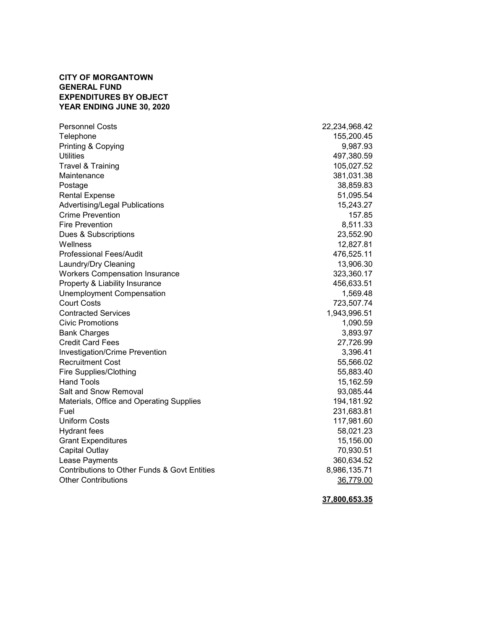# CITY OF MORGANTOWN GENERAL FUND EXPENDITURES BY OBJECT YEAR ENDING JUNE 30, 2020

| <b>Personnel Costs</b>                       | 22,234,968.42 |
|----------------------------------------------|---------------|
| Telephone                                    | 155,200.45    |
| Printing & Copying                           | 9,987.93      |
| <b>Utilities</b>                             | 497,380.59    |
| Travel & Training                            | 105,027.52    |
| Maintenance                                  | 381,031.38    |
| Postage                                      | 38,859.83     |
| <b>Rental Expense</b>                        | 51,095.54     |
| <b>Advertising/Legal Publications</b>        | 15,243.27     |
| <b>Crime Prevention</b>                      | 157.85        |
| <b>Fire Prevention</b>                       | 8,511.33      |
| Dues & Subscriptions                         | 23,552.90     |
| Wellness                                     | 12,827.81     |
| <b>Professional Fees/Audit</b>               | 476,525.11    |
| Laundry/Dry Cleaning                         | 13,906.30     |
| <b>Workers Compensation Insurance</b>        | 323,360.17    |
| Property & Liability Insurance               | 456,633.51    |
| Unemployment Compensation                    | 1,569.48      |
| <b>Court Costs</b>                           | 723,507.74    |
| <b>Contracted Services</b>                   | 1,943,996.51  |
| <b>Civic Promotions</b>                      | 1,090.59      |
| <b>Bank Charges</b>                          | 3,893.97      |
| <b>Credit Card Fees</b>                      | 27,726.99     |
| <b>Investigation/Crime Prevention</b>        | 3,396.41      |
| <b>Recruitment Cost</b>                      | 55,566.02     |
| <b>Fire Supplies/Clothing</b>                | 55,883.40     |
| Hand Tools                                   | 15,162.59     |
| Salt and Snow Removal                        | 93,085.44     |
| Materials, Office and Operating Supplies     | 194,181.92    |
| Fuel                                         | 231,683.81    |
| <b>Uniform Costs</b>                         | 117,981.60    |
| <b>Hydrant fees</b>                          | 58,021.23     |
| <b>Grant Expenditures</b>                    | 15,156.00     |
| <b>Capital Outlay</b>                        | 70,930.51     |
| Lease Payments                               | 360,634.52    |
| Contributions to Other Funds & Govt Entities | 8,986,135.71  |
| <b>Other Contributions</b>                   | 36,779.00     |

# 37,800,653.35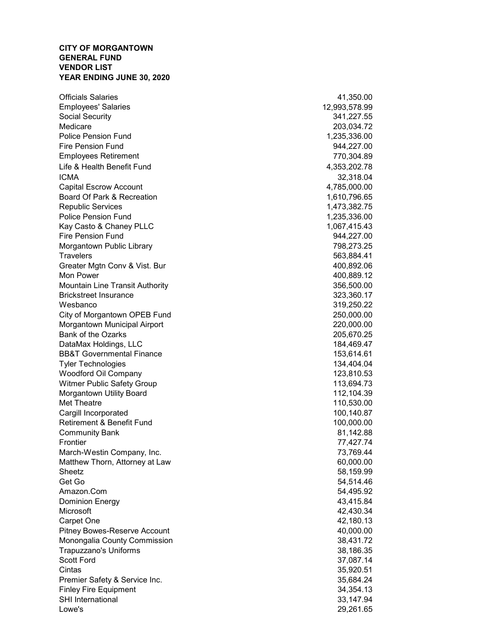### CITY OF MORGANTOWN GENERAL FUND VENDOR LIST YEAR ENDING JUNE 30, 2020

Officials Salaries 41,350.00 Employees' Salaries 12,993,578.99 Social Security 341,227.55 Medicare 203,034.72 Police Pension Fund 1,235,336.00 Fire Pension Fund 944,227.00 Employees Retirement 770,304.89 Life & Health Benefit Fund 4,353,202.78 ICMA 32,318.04 Capital Escrow Account 4,785,000.00 Board Of Park & Recreation 1,610,796.65 Republic Services 1,473,382.75 Police Pension Fund 1,235,336.00 Kay Casto & Chaney PLLC 1,067,415.43 Fire Pension Fund 944,227.00 Morgantown Public Library **798,273.25** and the Morgantown Public Library Travelers **1996 Travelers** 563,884.41 Greater Mgtn Conv & Vist. Bur 400,892.06 Mon Power 400,889.12 Mountain Line Transit Authority 356,500.00 Brickstreet Insurance 323,360.17 Wesbanco 319,250.22 City of Morgantown OPEB Fund 250,000.00 Morgantown Municipal Airport 220,000.00 Bank of the Ozarks 205,670.25 DataMax Holdings, LLC 184,469.47 BB&T Governmental Finance 153,614.61 Tyler Technologies 134,404.04 Woodford Oil Company 123,810.53 Witmer Public Safety Group 113,694.73 Morgantown Utility Board 112,104.39 Met Theatre 110,530.00 Cargill Incorporated 100,140.87 Retirement & Benefit Fund 100,000.00 Community Bank 81,142.88 Frontier 77,427.74 March-Westin Company, Inc. **73,769.44** Matthew Thorn, Attorney at Law 60,000.00 Sheetz 58,159.99 Get Go 54,514.46 Amazon.Com 54,495.92 Dominion Energy 43,415.84 Microsoft 42,430.34 Carpet One 42,180.13 Pitney Bowes-Reserve Account 20,000.00 Monongalia County Commission 38,431.72 Trapuzzano's Uniforms 38,186.35 Scott Ford 37,087.14 Cintas 35,920.51 Premier Safety & Service Inc. **35,684.24** Finley Fire Equipment 34,354.13 SHI International 33,147.94 Lowe's 29,261.65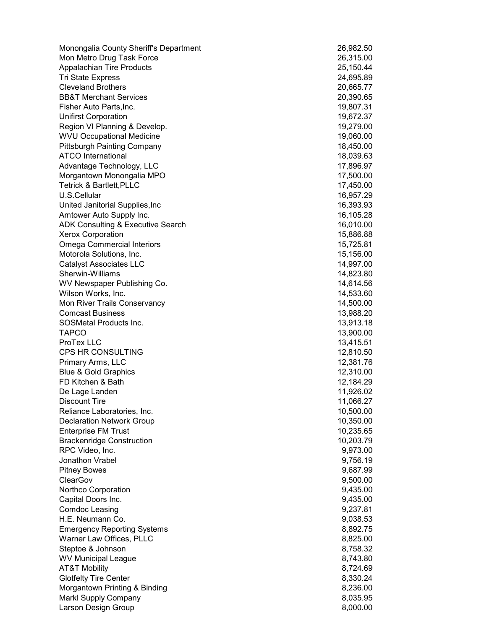Monongalia County Sheriff's Department 26,982.50 Mon Metro Drug Task Force 26,315.00 Appalachian Tire Products 25,150.44 Tri State Express 24,695.89 Cleveland Brothers 20,665.77 BB&T Merchant Services 20,390.65 Fisher Auto Parts,Inc. 19,807.31 Unifirst Corporation 19,672.37 Region VI Planning & Develop. 19,279.00 WVU Occupational Medicine 19,060.00 Pittsburgh Painting Company 18,450.00 ATCO International and the state of the state of the state of the state of the state of the state of the state of the state of the state of the state of the state of the state of the state of the state of the state of the Advantage Technology, LLC 17,896.97 Morgantown Monongalia MPO 17,500.00 Tetrick & Bartlett,PLLC 17,450.00 U.S.Cellular 16,957.29 United Janitorial Supplies,Inc 16,393.93 Amtower Auto Supply Inc. 2008 2012 16,105.28 ADK Consulting & Executive Search 16,010.00 Xerox Corporation 15,886.88 Omega Commercial Interiors 15,725.81 Motorola Solutions, Inc. 15,156.00 Catalyst Associates LLC 14,997.00 Sherwin-Williams 14,823.80 WV Newspaper Publishing Co. 14,614.56 Wilson Works, Inc. 2008. The contract of the contract of the contract of the contract of the contract of the contract of the contract of the contract of the contract of the contract of the contract of the contract of the c Mon River Trails Conservancy 14,500.00 Comcast Business 13,988.20 SOSMetal Products Inc. 2008 2009 13,913.18 TAPCO 13,900.00 ProTex LLC 13,415.51 CPS HR CONSULTING 12,810.50 Primary Arms, LLC 12,381.76 Blue & Gold Graphics 12,310.00 FD Kitchen & Bath 12,184.29 De Lage Landen 11,926.02 Discount Tire 11,066.27 Reliance Laboratories, Inc. **10,500.00** Network 20,500.00 Declaration Network Group 10,350.00 Enterprise FM Trust 10,235.65 Brackenridge Construction **10,203.79** and 10,203.79 RPC Video, Inc. 9,973.00 Jonathon Vrabel 9,756.19 Pitney Bowes 9,687.99 ClearGov 9,500.00 Northco Corporation 9,435.00 Capital Doors Inc. 9,435.00 Comdoc Leasing 9,237.81 H.E. Neumann Co. 9,038.53 Emergency Reporting Systems 8,892.75 Warner Law Offices, PLLC 8,825.00 Steptoe & Johnson 8,758.32 WV Municipal League 8,743.80 AT&T Mobility 8,724.69 Glotfelty Tire Center 8,330.24 Morgantown Printing & Binding 8, 236.00 Markl Supply Company 8,035.95 Larson Design Group 8,000.00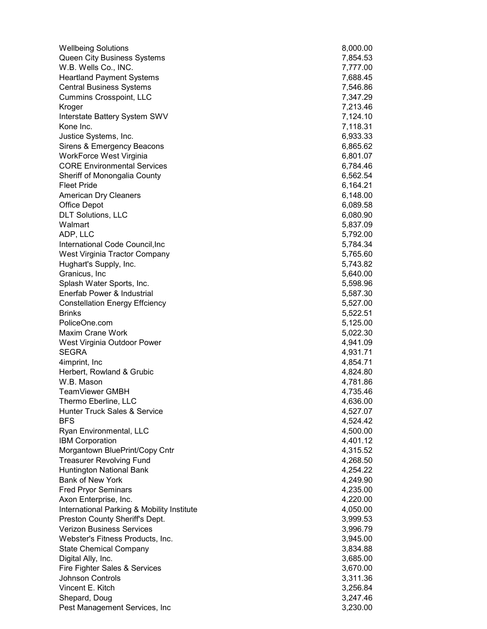| <b>Wellbeing Solutions</b>                  | 8,000.00             |
|---------------------------------------------|----------------------|
| Queen City Business Systems                 | 7,854.53             |
| W.B. Wells Co., INC.                        | 7,777.00             |
| <b>Heartland Payment Systems</b>            | 7,688.45             |
| <b>Central Business Systems</b>             | 7,546.86             |
| <b>Cummins Crosspoint, LLC</b>              | 7,347.29             |
| Kroger                                      | 7,213.46             |
| Interstate Battery System SWV               | 7,124.10             |
| Kone Inc.                                   | 7,118.31             |
| Justice Systems, Inc.                       | 6,933.33             |
| Sirens & Emergency Beacons                  | 6,865.62             |
| WorkForce West Virginia                     | 6,801.07             |
| <b>CORE Environmental Services</b>          | 6,784.46             |
| Sheriff of Monongalia County                | 6,562.54             |
| <b>Fleet Pride</b>                          | 6,164.21             |
| <b>American Dry Cleaners</b>                | 6,148.00             |
| <b>Office Depot</b>                         | 6,089.58             |
| <b>DLT Solutions, LLC</b>                   | 6,080.90             |
| Walmart                                     | 5,837.09             |
| ADP, LLC                                    | 5,792.00             |
| International Code Council, Inc             | 5,784.34             |
| West Virginia Tractor Company               | 5,765.60             |
| Hughart's Supply, Inc.                      | 5,743.82             |
| Granicus, Inc                               | 5,640.00             |
| Splash Water Sports, Inc.                   | 5,598.96             |
| Enerfab Power & Industrial                  | 5,587.30             |
| <b>Constellation Energy Effciency</b>       | 5,527.00             |
| <b>Brinks</b>                               | 5,522.51             |
| PoliceOne.com                               | 5,125.00             |
| <b>Maxim Crane Work</b>                     | 5,022.30             |
| West Virginia Outdoor Power<br><b>SEGRA</b> | 4,941.09<br>4,931.71 |
| 4imprint, Inc                               | 4,854.71             |
| Herbert, Rowland & Grubic                   | 4,824.80             |
| W.B. Mason                                  | 4,781.86             |
| TeamViewer GMBH                             | 4,735.46             |
| Thermo Eberline, LLC                        | 4,636.00             |
| <b>Hunter Truck Sales &amp; Service</b>     | 4,527.07             |
| <b>BFS</b>                                  | 4,524.42             |
| Ryan Environmental, LLC                     | 4,500.00             |
| <b>IBM Corporation</b>                      | 4,401.12             |
| Morgantown BluePrint/Copy Cntr              | 4,315.52             |
| <b>Treasurer Revolving Fund</b>             | 4,268.50             |
| Huntington National Bank                    | 4,254.22             |
| <b>Bank of New York</b>                     | 4,249.90             |
| <b>Fred Pryor Seminars</b>                  | 4,235.00             |
| Axon Enterprise, Inc.                       | 4,220.00             |
| International Parking & Mobility Institute  | 4,050.00             |
| Preston County Sheriff's Dept.              | 3,999.53             |
| <b>Verizon Business Services</b>            | 3,996.79             |
| Webster's Fitness Products, Inc.            | 3,945.00             |
| <b>State Chemical Company</b>               | 3,834.88             |
| Digital Ally, Inc.                          | 3,685.00             |
| Fire Fighter Sales & Services               | 3,670.00             |
| <b>Johnson Controls</b>                     | 3,311.36             |
| Vincent E. Kitch                            | 3,256.84             |
| Shepard, Doug                               | 3,247.46             |
| Pest Management Services, Inc               | 3,230.00             |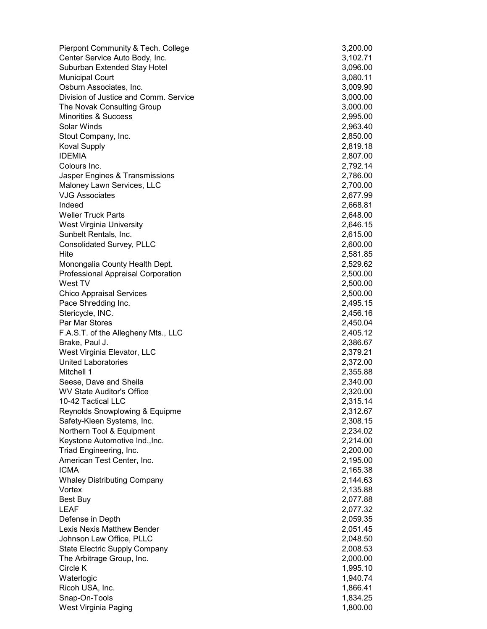| Pierpont Community & Tech. College    | 3,200.00             |
|---------------------------------------|----------------------|
| Center Service Auto Body, Inc.        | 3,102.71             |
| Suburban Extended Stay Hotel          | 3,096.00             |
| <b>Municipal Court</b>                | 3,080.11             |
| Osburn Associates, Inc.               | 3,009.90             |
| Division of Justice and Comm. Service | 3,000.00             |
| The Novak Consulting Group            | 3,000.00             |
| <b>Minorities &amp; Success</b>       | 2,995.00             |
| Solar Winds                           | 2,963.40             |
| Stout Company, Inc.                   | 2,850.00             |
| <b>Koval Supply</b>                   | 2,819.18             |
| <b>IDEMIA</b>                         | 2,807.00             |
| Colours Inc.                          | 2,792.14             |
| Jasper Engines & Transmissions        | 2,786.00             |
| Maloney Lawn Services, LLC            | 2,700.00             |
| <b>VJG Associates</b>                 | 2,677.99             |
| Indeed                                | 2,668.81             |
| <b>Weller Truck Parts</b>             | 2,648.00             |
| West Virginia University              | 2,646.15             |
| Sunbelt Rentals, Inc.                 | 2,615.00             |
| Consolidated Survey, PLLC             | 2,600.00             |
| Hite                                  | 2,581.85             |
| Monongalia County Health Dept.        | 2,529.62             |
| Professional Appraisal Corporation    | 2,500.00             |
| West TV                               | 2,500.00             |
| <b>Chico Appraisal Services</b>       | 2,500.00             |
| Pace Shredding Inc.                   | 2,495.15             |
| Stericycle, INC.<br>Par Mar Stores    | 2,456.16             |
| F.A.S.T. of the Allegheny Mts., LLC   | 2,450.04<br>2,405.12 |
| Brake, Paul J.                        | 2,386.67             |
| West Virginia Elevator, LLC           | 2,379.21             |
| <b>United Laboratories</b>            | 2,372.00             |
| Mitchell 1                            | 2,355.88             |
| Seese, Dave and Sheila                | 2,340.00             |
| <b>WV State Auditor's Office</b>      | 2,320.00             |
| 10-42 Tactical LLC                    | 2,315.14             |
| Reynolds Snowplowing & Equipme        | 2,312.67             |
| Safety-Kleen Systems, Inc.            | 2,308.15             |
| Northern Tool & Equipment             | 2,234.02             |
| Keystone Automotive Ind., Inc.        | 2,214.00             |
| Triad Engineering, Inc.               | 2,200.00             |
| American Test Center, Inc.            | 2,195.00             |
| <b>ICMA</b>                           | 2,165.38             |
| <b>Whaley Distributing Company</b>    | 2,144.63             |
| Vortex                                | 2,135.88             |
| <b>Best Buy</b>                       | 2,077.88             |
| <b>LEAF</b>                           | 2,077.32             |
| Defense in Depth                      | 2,059.35             |
| Lexis Nexis Matthew Bender            | 2,051.45             |
| Johnson Law Office, PLLC              | 2,048.50             |
| <b>State Electric Supply Company</b>  | 2,008.53             |
| The Arbitrage Group, Inc.             | 2,000.00             |
| Circle K                              | 1,995.10             |
| Waterlogic                            | 1,940.74             |
| Ricoh USA, Inc.                       | 1,866.41             |
| Snap-On-Tools                         | 1,834.25             |
| West Virginia Paging                  | 1,800.00             |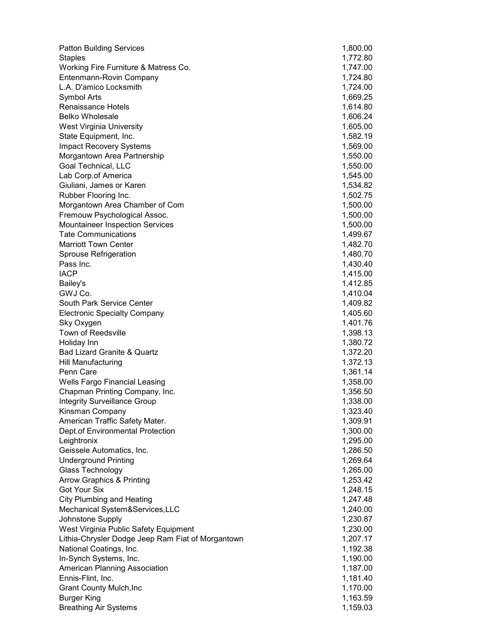| <b>Patton Building Services</b>                       | 1,800.00             |
|-------------------------------------------------------|----------------------|
| <b>Staples</b>                                        | 1,772.80             |
| Working Fire Furniture & Matress Co.                  | 1,747.00             |
| Entenmann-Rovin Company                               | 1,724.80             |
| L.A. D'amico Locksmith                                | 1,724.00             |
| Symbol Arts                                           | 1,669.25             |
| <b>Renaissance Hotels</b>                             | 1,614.80             |
| <b>Belko Wholesale</b>                                | 1,606.24             |
| <b>West Virginia University</b>                       | 1,605.00             |
| State Equipment, Inc.                                 | 1,582.19             |
| <b>Impact Recovery Systems</b>                        | 1,569.00             |
| Morgantown Area Partnership                           | 1,550.00             |
| Goal Technical, LLC                                   | 1,550.00             |
| Lab Corp.of America                                   | 1,545.00             |
| Giuliani, James or Karen                              | 1,534.82             |
| Rubber Flooring Inc.                                  | 1,502.75             |
| Morgantown Area Chamber of Com                        | 1,500.00             |
| Fremouw Psychological Assoc.                          | 1,500.00             |
| <b>Mountaineer Inspection Services</b>                | 1,500.00             |
| <b>Tate Communications</b>                            | 1,499.67             |
| <b>Marriott Town Center</b>                           | 1,482.70             |
| Sprouse Refrigeration                                 | 1,480.70             |
| Pass Inc.                                             | 1,430.40             |
| <b>IACP</b>                                           | 1,415.00             |
| Bailey's                                              | 1,412.85             |
| GWJ Co.                                               | 1,410.04             |
| South Park Service Center                             | 1,409.82             |
| <b>Electronic Specialty Company</b>                   | 1,405.60             |
| Sky Oxygen                                            | 1,401.76             |
| Town of Reedsville                                    | 1,398.13             |
| Holiday Inn                                           | 1,380.72             |
| Bad Lizard Granite & Quartz                           | 1,372.20             |
| <b>Hill Manufacturing</b>                             | 1,372.13             |
| Penn Care                                             | 1,361.14             |
| Wells Fargo Financial Leasing                         | 1,358.00             |
| Chapman Printing Company, Inc.                        | 1,356.50             |
| <b>Integrity Surveillance Group</b>                   | 1,338.00             |
| Kinsman Company                                       | 1,323.40             |
| American Traffic Safety Mater.                        | 1,309.91             |
| Dept.of Environmental Protection                      | 1,300.00             |
| Leightronix                                           | 1,295.00             |
| Geissele Automatics, Inc.                             | 1,286.50             |
| <b>Underground Printing</b>                           | 1,269.64             |
| Glass Technology                                      | 1,265.00             |
| <b>Arrow Graphics &amp; Printing</b>                  | 1,253.42             |
| <b>Got Your Six</b>                                   | 1,248.15             |
| <b>City Plumbing and Heating</b>                      | 1,247.48             |
| Mechanical System&Services, LLC                       | 1,240.00             |
| Johnstone Supply                                      | 1,230.87             |
| West Virginia Public Safety Equipment                 | 1,230.00             |
| Lithia-Chrysler Dodge Jeep Ram Fiat of Morgantown     | 1,207.17             |
| National Coatings, Inc.                               | 1,192.38             |
| In-Synch Systems, Inc.                                | 1,190.00             |
| American Planning Association                         | 1,187.00             |
| Ennis-Flint, Inc.                                     | 1,181.40             |
| <b>Grant County Mulch, Inc.</b><br><b>Burger King</b> | 1,170.00<br>1,163.59 |
| <b>Breathing Air Systems</b>                          | 1,159.03             |
|                                                       |                      |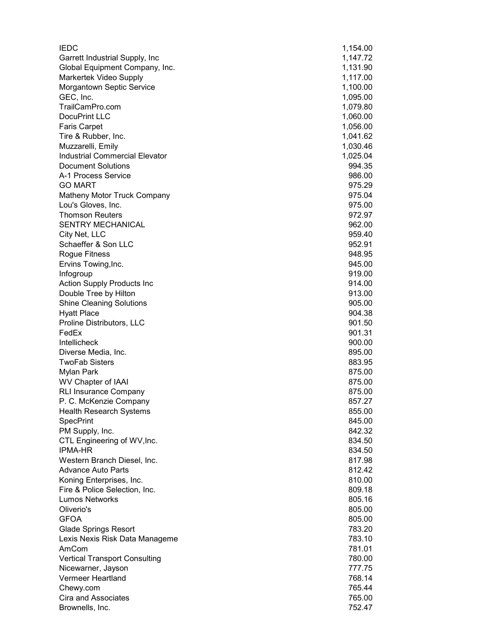| <b>IEDC</b>                             | 1,154.00         |
|-----------------------------------------|------------------|
| Garrett Industrial Supply, Inc          | 1,147.72         |
| Global Equipment Company, Inc.          | 1,131.90         |
| Markertek Video Supply                  | 1,117.00         |
| Morgantown Septic Service               | 1,100.00         |
| GEC, Inc.                               | 1,095.00         |
| TrailCamPro.com                         | 1,079.80         |
| DocuPrint LLC                           | 1,060.00         |
| <b>Faris Carpet</b>                     | 1,056.00         |
| Tire & Rubber, Inc.                     | 1,041.62         |
| Muzzarelli, Emily                       | 1,030.46         |
| <b>Industrial Commercial Elevator</b>   | 1,025.04         |
| <b>Document Solutions</b>               | 994.35           |
| A-1 Process Service                     | 986.00           |
| <b>GO MART</b>                          | 975.29           |
| Matheny Motor Truck Company             | 975.04           |
| Lou's Gloves, Inc.                      | 975.00           |
| <b>Thomson Reuters</b>                  | 972.97           |
| SENTRY MECHANICAL                       | 962.00           |
| City Net, LLC                           | 959.40           |
| Schaeffer & Son LLC                     | 952.91           |
| Rogue Fitness                           | 948.95           |
| Ervins Towing, Inc.                     | 945.00           |
| Infogroup                               | 919.00           |
| Action Supply Products Inc              | 914.00           |
| Double Tree by Hilton                   | 913.00           |
| <b>Shine Cleaning Solutions</b>         | 905.00           |
| <b>Hyatt Place</b>                      | 904.38<br>901.50 |
| Proline Distributors, LLC<br>FedEx      | 901.31           |
| <b>Intellicheck</b>                     | 900.00           |
| Diverse Media, Inc.                     | 895.00           |
| <b>TwoFab Sisters</b>                   | 883.95           |
| Mylan Park                              | 875.00           |
| <b>WV Chapter of IAAI</b>               | 875.00           |
| <b>RLI Insurance Company</b>            | 875.00           |
| P. C. McKenzie Company                  | 857.27           |
| <b>Health Research Systems</b>          | 855.00           |
| <b>SpecPrint</b>                        | 845.00           |
| PM Supply, Inc.                         | 842.32           |
| CTL Engineering of WV, Inc.             | 834.50           |
| <b>IPMA-HR</b>                          | 834.50           |
| Western Branch Diesel, Inc.             | 817.98           |
| <b>Advance Auto Parts</b>               | 812.42           |
| Koning Enterprises, Inc.                | 810.00           |
| Fire & Police Selection, Inc.           | 809.18           |
| <b>Lumos Networks</b>                   | 805.16           |
| Oliverio's                              | 805.00           |
| <b>GFOA</b>                             | 805.00           |
| <b>Glade Springs Resort</b>             | 783.20           |
| Lexis Nexis Risk Data Manageme          | 783.10           |
| AmCom                                   | 781.01           |
| <b>Vertical Transport Consulting</b>    | 780.00           |
| Nicewarner, Jayson<br>Vermeer Heartland | 777.75<br>768.14 |
| Chewy.com                               | 765.44           |
| Cira and Associates                     | 765.00           |
| Brownells, Inc.                         | 752.47           |
|                                         |                  |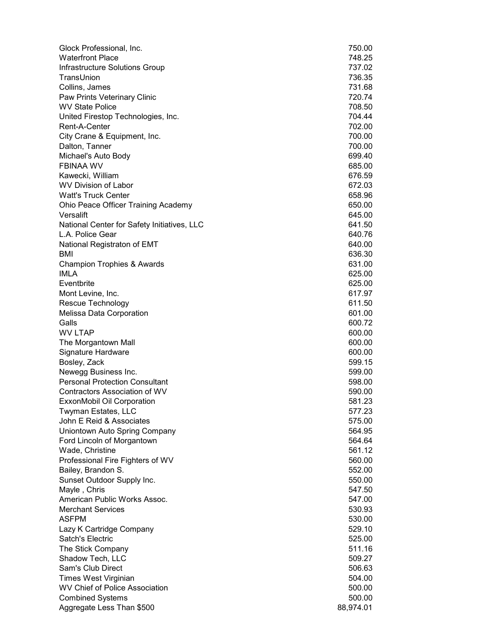| Glock Professional, Inc.                                      | 750.00              |
|---------------------------------------------------------------|---------------------|
| <b>Waterfront Place</b>                                       | 748.25              |
| Infrastructure Solutions Group                                | 737.02              |
| TransUnion                                                    | 736.35              |
| Collins, James                                                | 731.68              |
| Paw Prints Veterinary Clinic                                  | 720.74              |
| <b>WV State Police</b>                                        | 708.50              |
| United Firestop Technologies, Inc.                            | 704.44              |
| Rent-A-Center                                                 | 702.00              |
| City Crane & Equipment, Inc.                                  | 700.00              |
| Dalton, Tanner                                                | 700.00              |
| Michael's Auto Body                                           | 699.40              |
| <b>FBINAA WV</b>                                              | 685.00              |
| Kawecki, William                                              | 676.59              |
| <b>WV Division of Labor</b>                                   | 672.03              |
| <b>Watt's Truck Center</b>                                    | 658.96              |
| Ohio Peace Officer Training Academy                           | 650.00              |
| Versalift                                                     | 645.00              |
| National Center for Safety Initiatives, LLC                   | 641.50              |
| L.A. Police Gear                                              | 640.76              |
| National Registraton of EMT                                   | 640.00              |
| BMI                                                           | 636.30              |
| <b>Champion Trophies &amp; Awards</b>                         | 631.00              |
| <b>IMLA</b>                                                   | 625.00              |
| Eventbrite                                                    | 625.00              |
| Mont Levine, Inc.                                             | 617.97              |
| Rescue Technology                                             | 611.50              |
| Melissa Data Corporation                                      | 601.00              |
| Galls                                                         | 600.72              |
| <b>WV LTAP</b>                                                | 600.00              |
| The Morgantown Mall                                           | 600.00              |
| Signature Hardware                                            | 600.00              |
| Bosley, Zack                                                  | 599.15              |
| Newegg Business Inc.                                          | 599.00              |
| <b>Personal Protection Consultant</b>                         | 598.00              |
| <b>Contractors Association of WV</b>                          | 590.00              |
| ExxonMobil Oil Corporation                                    | 581.23              |
| <b>Twyman Estates, LLC</b>                                    | 577.23              |
| John E Reid & Associates                                      | 575.00              |
| Uniontown Auto Spring Company                                 | 564.95              |
| Ford Lincoln of Morgantown                                    | 564.64              |
| Wade, Christine                                               | 561.12              |
| Professional Fire Fighters of WV                              | 560.00              |
| Bailey, Brandon S.                                            | 552.00              |
| Sunset Outdoor Supply Inc.                                    | 550.00              |
| Mayle, Chris                                                  | 547.50              |
| American Public Works Assoc.<br><b>Merchant Services</b>      | 547.00              |
|                                                               | 530.93              |
| ASFPM                                                         | 530.00              |
| Lazy K Cartridge Company<br>Satch's Electric                  | 529.10              |
| The Stick Company                                             | 525.00<br>511.16    |
|                                                               |                     |
| Shadow Tech, LLC<br>Sam's Club Direct                         | 509.27              |
|                                                               | 506.63              |
| Times West Virginian<br><b>WV Chief of Police Association</b> | 504.00              |
| <b>Combined Systems</b>                                       | 500.00              |
|                                                               | 500.00<br>88,974.01 |
| Aggregate Less Than \$500                                     |                     |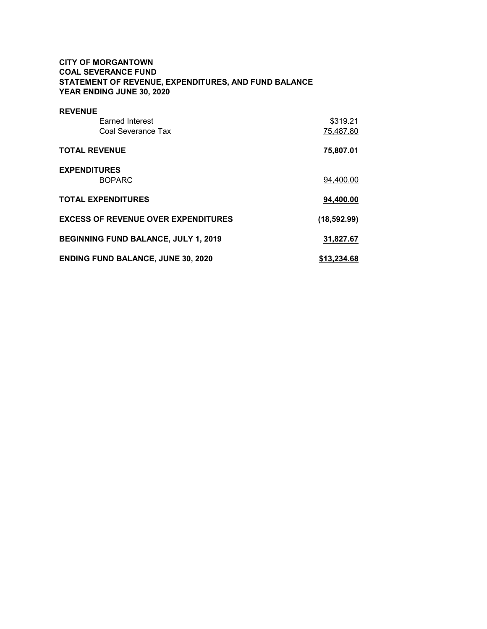# CITY OF MORGANTOWN COAL SEVERANCE FUND STATEMENT OF REVENUE, EXPENDITURES, AND FUND BALANCE YEAR ENDING JUNE 30, 2020

| <b>REVENUE</b>                              |              |
|---------------------------------------------|--------------|
| <b>Earned Interest</b>                      | \$319.21     |
| Coal Severance Tax                          | 75,487.80    |
| <b>TOTAL REVENUE</b>                        | 75,807.01    |
| <b>EXPENDITURES</b>                         |              |
| <b>BOPARC</b>                               | 94,400.00    |
| <b>TOTAL EXPENDITURES</b>                   | 94,400.00    |
| <b>EXCESS OF REVENUE OVER EXPENDITURES</b>  | (18, 592.99) |
| <b>BEGINNING FUND BALANCE, JULY 1, 2019</b> | 31.827.67    |
| <b>ENDING FUND BALANCE, JUNE 30, 2020</b>   | \$13,234,68  |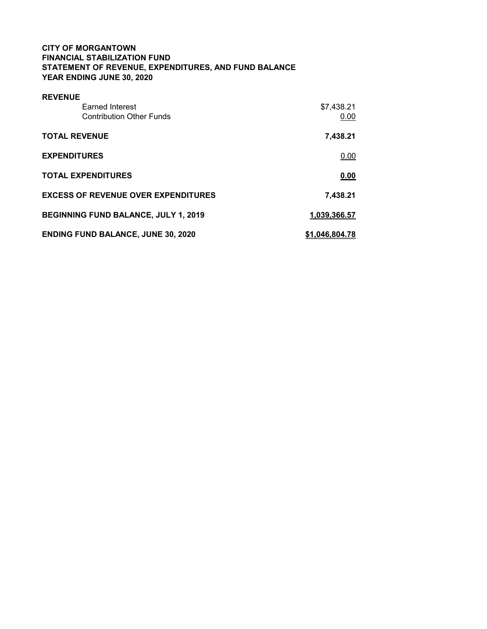# CITY OF MORGANTOWN FINANCIAL STABILIZATION FUND STATEMENT OF REVENUE, EXPENDITURES, AND FUND BALANCE YEAR ENDING JUNE 30, 2020

| <b>REVENUE</b>                              |                |
|---------------------------------------------|----------------|
| Earned Interest                             | \$7,438.21     |
| <b>Contribution Other Funds</b>             | 0.00           |
| <b>TOTAL REVENUE</b>                        | 7,438.21       |
| <b>EXPENDITURES</b>                         | 0.00           |
| <b>TOTAL EXPENDITURES</b>                   | 0.00           |
| <b>EXCESS OF REVENUE OVER EXPENDITURES</b>  | 7.438.21       |
| <b>BEGINNING FUND BALANCE, JULY 1, 2019</b> | 1,039,366.57   |
| <b>ENDING FUND BALANCE, JUNE 30, 2020</b>   | \$1,046,804.78 |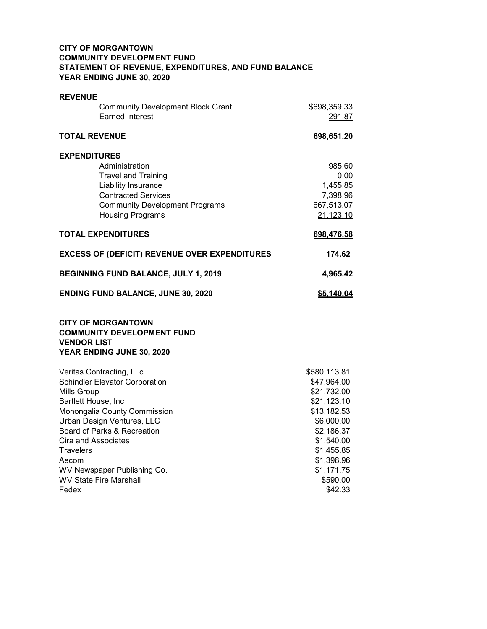# CITY OF MORGANTOWN COMMUNITY DEVELOPMENT FUND STATEMENT OF REVENUE, EXPENDITURES, AND FUND BALANCE YEAR ENDING JUNE 30, 2020

| <b>REVENUE</b>                                                                                                    |                          |
|-------------------------------------------------------------------------------------------------------------------|--------------------------|
| <b>Community Development Block Grant</b>                                                                          | \$698,359.33             |
| <b>Earned Interest</b>                                                                                            | 291.87                   |
| <b>TOTAL REVENUE</b>                                                                                              | 698,651.20               |
| <b>EXPENDITURES</b>                                                                                               |                          |
| Administration                                                                                                    | 985.60                   |
| <b>Travel and Training</b>                                                                                        | 0.00                     |
| Liability Insurance                                                                                               | 1,455.85                 |
| <b>Contracted Services</b>                                                                                        | 7,398.96                 |
| <b>Community Development Programs</b>                                                                             | 667,513.07               |
| <b>Housing Programs</b>                                                                                           | 21,123.10                |
| <b>TOTAL EXPENDITURES</b>                                                                                         | 698,476.58               |
| <b>EXCESS OF (DEFICIT) REVENUE OVER EXPENDITURES</b>                                                              | 174.62                   |
| <b>BEGINNING FUND BALANCE, JULY 1, 2019</b>                                                                       | 4,965.42                 |
| <b>ENDING FUND BALANCE, JUNE 30, 2020</b>                                                                         | \$5,140.04               |
| <b>CITY OF MORGANTOWN</b><br><b>COMMUNITY DEVELOPMENT FUND</b><br><b>VENDOR LIST</b><br>YEAR ENDING JUNE 30, 2020 |                          |
| Veritas Contracting, LLc                                                                                          | \$580,113.81             |
| <b>Schindler Elevator Corporation</b>                                                                             | \$47,964.00              |
| <b>Mills Group</b>                                                                                                | \$21,732.00              |
| Bartlett House, Inc                                                                                               | \$21,123.10              |
| Monongalia County Commission                                                                                      | \$13,182.53              |
| Urban Design Ventures, LLC                                                                                        | \$6,000.00               |
| Board of Parks & Recreation                                                                                       | \$2,186.37               |
| Cira and Associates<br>Travelers                                                                                  | \$1,540.00<br>\$1,455.85 |
| Aecom                                                                                                             | \$1,398.96               |
| WV Newspaper Publishing Co.                                                                                       | \$1,171.75               |
| <b>WV State Fire Marshall</b>                                                                                     | \$590.00                 |
| Fedex                                                                                                             | \$42.33                  |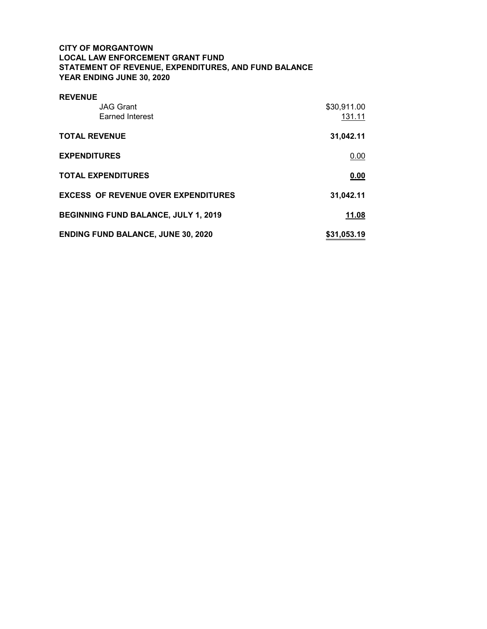# CITY OF MORGANTOWN LOCAL LAW ENFORCEMENT GRANT FUND STATEMENT OF REVENUE, EXPENDITURES, AND FUND BALANCE YEAR ENDING JUNE 30, 2020

| <b>REVENUE</b>                              |             |
|---------------------------------------------|-------------|
| <b>JAG Grant</b>                            | \$30,911.00 |
| <b>Earned Interest</b>                      | 131.11      |
| <b>TOTAL REVENUE</b>                        | 31,042.11   |
| <b>EXPENDITURES</b>                         | 0.00        |
| <b>TOTAL EXPENDITURES</b>                   | 0.00        |
| <b>EXCESS OF REVENUE OVER EXPENDITURES</b>  | 31,042.11   |
| <b>BEGINNING FUND BALANCE, JULY 1, 2019</b> | 11.08       |
| <b>ENDING FUND BALANCE, JUNE 30, 2020</b>   | \$31,053.19 |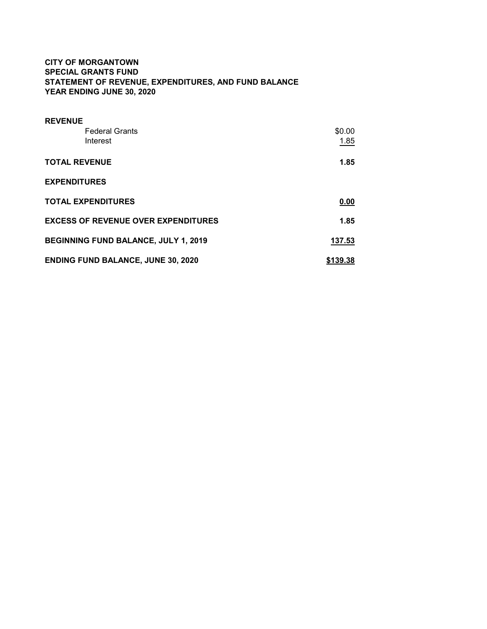# CITY OF MORGANTOWN SPECIAL GRANTS FUND STATEMENT OF REVENUE, EXPENDITURES, AND FUND BALANCE YEAR ENDING JUNE 30, 2020

| <b>REVENUE</b>                             |          |
|--------------------------------------------|----------|
| <b>Federal Grants</b>                      | \$0.00   |
| Interest                                   | 1.85     |
| <b>TOTAL REVENUE</b>                       | 1.85     |
| <b>EXPENDITURES</b>                        |          |
| <b>TOTAL EXPENDITURES</b>                  | 0.00     |
| <b>EXCESS OF REVENUE OVER EXPENDITURES</b> | 1.85     |
| BEGINNING FUND BALANCE, JULY 1, 2019       | 137.53   |
| <b>ENDING FUND BALANCE, JUNE 30, 2020</b>  | \$139.38 |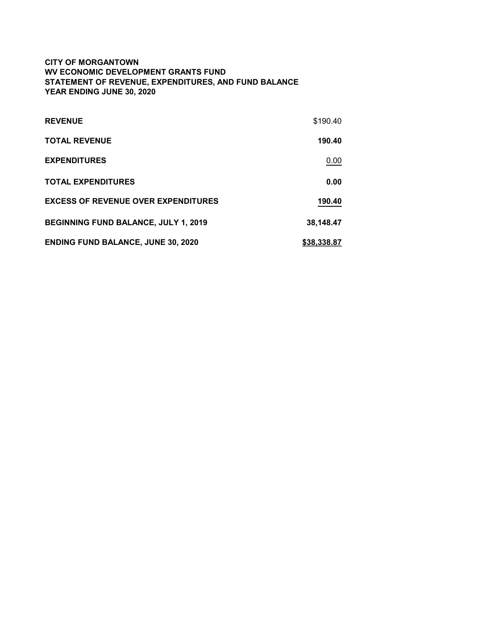# CITY OF MORGANTOWN WV ECONOMIC DEVELOPMENT GRANTS FUND STATEMENT OF REVENUE, EXPENDITURES, AND FUND BALANCE YEAR ENDING JUNE 30, 2020

| <b>REVENUE</b>                             | \$190.40    |
|--------------------------------------------|-------------|
| <b>TOTAL REVENUE</b>                       | 190.40      |
| <b>EXPENDITURES</b>                        | 0.00        |
| <b>TOTAL EXPENDITURES</b>                  | 0.00        |
| <b>EXCESS OF REVENUE OVER EXPENDITURES</b> | 190.40      |
| BEGINNING FUND BALANCE, JULY 1, 2019       | 38,148.47   |
| <b>ENDING FUND BALANCE, JUNE 30, 2020</b>  | \$38,338,87 |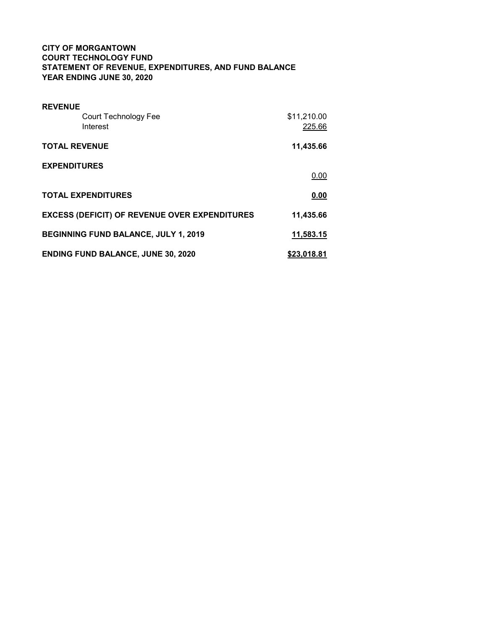# CITY OF MORGANTOWN COURT TECHNOLOGY FUND STATEMENT OF REVENUE, EXPENDITURES, AND FUND BALANCE YEAR ENDING JUNE 30, 2020

| <b>REVENUE</b>            |                                                      |             |
|---------------------------|------------------------------------------------------|-------------|
|                           | Court Technology Fee                                 | \$11,210.00 |
| Interest                  |                                                      | 225.66      |
| <b>TOTAL REVENUE</b>      |                                                      | 11,435.66   |
| <b>EXPENDITURES</b>       |                                                      |             |
|                           |                                                      | 0.00        |
| <b>TOTAL EXPENDITURES</b> |                                                      | 0.00        |
|                           | <b>EXCESS (DEFICIT) OF REVENUE OVER EXPENDITURES</b> | 11,435.66   |
|                           | <b>BEGINNING FUND BALANCE, JULY 1, 2019</b>          | 11,583.15   |
|                           | <b>ENDING FUND BALANCE, JUNE 30, 2020</b>            | \$23,018.81 |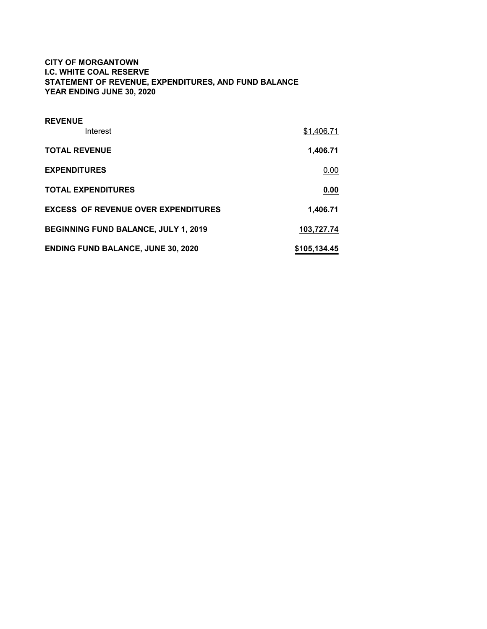# CITY OF MORGANTOWN I.C. WHITE COAL RESERVE STATEMENT OF REVENUE, EXPENDITURES, AND FUND BALANCE YEAR ENDING JUNE 30, 2020

| <b>REVENUE</b>                              |              |
|---------------------------------------------|--------------|
| Interest                                    | \$1,406.71   |
| <b>TOTAL REVENUE</b>                        | 1,406.71     |
| <b>EXPENDITURES</b>                         | 0.00         |
| <b>TOTAL EXPENDITURES</b>                   | 0.00         |
| <b>EXCESS OF REVENUE OVER EXPENDITURES</b>  | 1,406.71     |
| <b>BEGINNING FUND BALANCE, JULY 1, 2019</b> | 103.727.74   |
| <b>ENDING FUND BALANCE, JUNE 30, 2020</b>   | \$105,134.45 |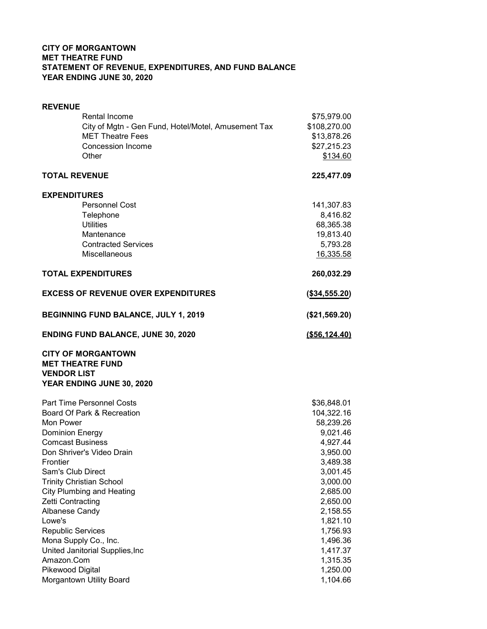# CITY OF MORGANTOWN MET THEATRE FUND STATEMENT OF REVENUE, EXPENDITURES, AND FUND BALANCE YEAR ENDING JUNE 30, 2020

| <b>REVENUE</b>                                                             |                      |
|----------------------------------------------------------------------------|----------------------|
| Rental Income                                                              | \$75,979.00          |
| City of Mgtn - Gen Fund, Hotel/Motel, Amusement Tax                        | \$108,270.00         |
| <b>MET Theatre Fees</b>                                                    | \$13,878.26          |
| <b>Concession Income</b>                                                   | \$27,215.23          |
| Other                                                                      | \$134.60             |
| <b>TOTAL REVENUE</b>                                                       | 225,477.09           |
| <b>EXPENDITURES</b>                                                        |                      |
| <b>Personnel Cost</b>                                                      | 141,307.83           |
| Telephone                                                                  | 8,416.82             |
| <b>Utilities</b>                                                           | 68,365.38            |
| Mantenance                                                                 | 19,813.40            |
| <b>Contracted Services</b>                                                 | 5,793.28             |
| Miscellaneous                                                              | 16,335.58            |
| <b>TOTAL EXPENDITURES</b>                                                  | 260,032.29           |
| <b>EXCESS OF REVENUE OVER EXPENDITURES</b>                                 | (\$34,555.20)        |
| BEGINNING FUND BALANCE, JULY 1, 2019                                       | (\$21,569.20)        |
| <b>ENDING FUND BALANCE, JUNE 30, 2020</b>                                  | ( \$56, 124.40)      |
| <b>CITY OF MORGANTOWN</b><br><b>MET THEATRE FUND</b><br><b>VENDOR LIST</b> |                      |
| YEAR ENDING JUNE 30, 2020                                                  |                      |
| Part Time Personnel Costs                                                  | \$36,848.01          |
| Board Of Park & Recreation                                                 | 104,322.16           |
| Mon Power                                                                  | 58,239.26            |
| <b>Dominion Energy</b>                                                     | 9,021.46             |
| <b>Comcast Business</b>                                                    | 4,927.44             |
| Don Shriver's Video Drain                                                  | 3,950.00             |
| Frontier                                                                   | 3,489.38             |
| Sam's Club Direct                                                          | 3,001.45             |
| <b>Trinity Christian School</b>                                            | 3,000.00             |
| <b>City Plumbing and Heating</b><br>Zetti Contracting                      | 2,685.00<br>2,650.00 |
| Albanese Candy                                                             | 2,158.55             |
| Lowe's                                                                     | 1,821.10             |
| <b>Republic Services</b>                                                   | 1,756.93             |
| Mona Supply Co., Inc.                                                      | 1,496.36             |
| United Janitorial Supplies, Inc                                            | 1,417.37             |
| Amazon.Com                                                                 | 1,315.35             |
| Pikewood Digital                                                           | 1,250.00             |
| Morgantown Utility Board                                                   | 1,104.66             |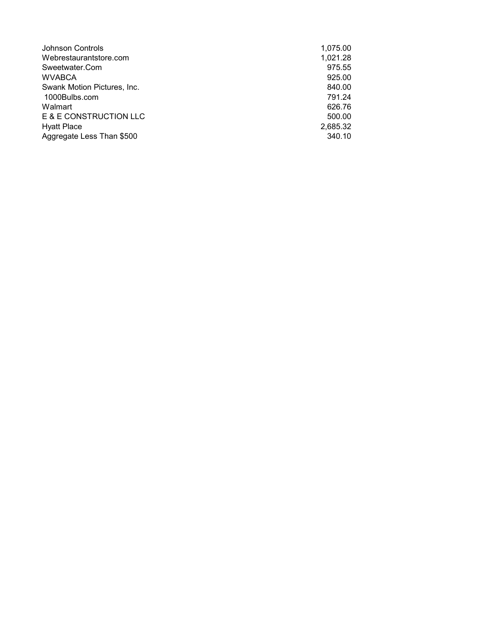| Johnson Controls            | 1,075.00 |
|-----------------------------|----------|
| Webrestaurantstore.com      | 1,021.28 |
| Sweetwater.Com              | 975.55   |
| <b>WVABCA</b>               | 925.00   |
| Swank Motion Pictures, Inc. | 840.00   |
| 1000Bulbs.com               | 791.24   |
| Walmart                     | 626.76   |
| E & E CONSTRUCTION LLC      | 500.00   |
| <b>Hyatt Place</b>          | 2,685.32 |
| Aggregate Less Than \$500   | 340.10   |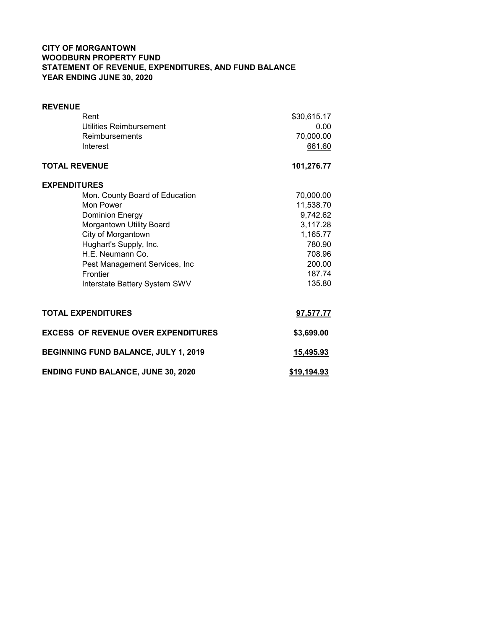# CITY OF MORGANTOWN WOODBURN PROPERTY FUND STATEMENT OF REVENUE, EXPENDITURES, AND FUND BALANCE YEAR ENDING JUNE 30, 2020

| <b>REVENUE</b>                             |             |
|--------------------------------------------|-------------|
| Rent                                       | \$30,615.17 |
| Utilities Reimbursement                    | 0.00        |
| Reimbursements                             | 70,000.00   |
| Interest                                   | 661.60      |
| <b>TOTAL REVENUE</b>                       | 101,276.77  |
| <b>EXPENDITURES</b>                        |             |
| Mon. County Board of Education             | 70,000.00   |
| Mon Power                                  | 11,538.70   |
| <b>Dominion Energy</b>                     | 9,742.62    |
| Morgantown Utility Board                   | 3,117.28    |
| City of Morgantown                         | 1,165.77    |
| Hughart's Supply, Inc.                     | 780.90      |
| H.E. Neumann Co.                           | 708.96      |
| Pest Management Services, Inc              | 200.00      |
| Frontier                                   | 187.74      |
| Interstate Battery System SWV              | 135.80      |
|                                            |             |
| <b>TOTAL EXPENDITURES</b>                  | 97,577.77   |
| <b>EXCESS OF REVENUE OVER EXPENDITURES</b> | \$3,699.00  |
| BEGINNING FUND BALANCE, JULY 1, 2019       | 15,495.93   |
| <b>ENDING FUND BALANCE, JUNE 30, 2020</b>  | \$19,194.93 |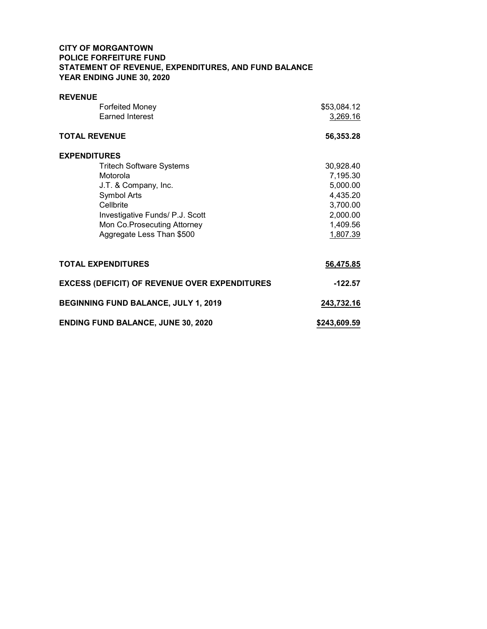# CITY OF MORGANTOWN POLICE FORFEITURE FUND STATEMENT OF REVENUE, EXPENDITURES, AND FUND BALANCE YEAR ENDING JUNE 30, 2020

| <b>REVENUE</b>                                       |              |
|------------------------------------------------------|--------------|
| <b>Forfeited Money</b>                               | \$53,084.12  |
| <b>Earned Interest</b>                               | 3,269.16     |
|                                                      |              |
| <b>TOTAL REVENUE</b>                                 | 56,353.28    |
| <b>EXPENDITURES</b>                                  |              |
| <b>Tritech Software Systems</b>                      | 30,928.40    |
| Motorola                                             | 7,195.30     |
| J.T. & Company, Inc.                                 | 5,000.00     |
| Symbol Arts                                          | 4,435.20     |
| Cellbrite                                            | 3,700.00     |
| Investigative Funds/ P.J. Scott                      | 2,000.00     |
| Mon Co. Prosecuting Attorney                         | 1,409.56     |
| Aggregate Less Than \$500                            | 1,807.39     |
|                                                      |              |
| <b>TOTAL EXPENDITURES</b>                            | 56,475.85    |
| <b>EXCESS (DEFICIT) OF REVENUE OVER EXPENDITURES</b> | $-122.57$    |
| BEGINNING FUND BALANCE, JULY 1, 2019                 | 243,732.16   |
| <b>ENDING FUND BALANCE, JUNE 30, 2020</b>            | \$243,609.59 |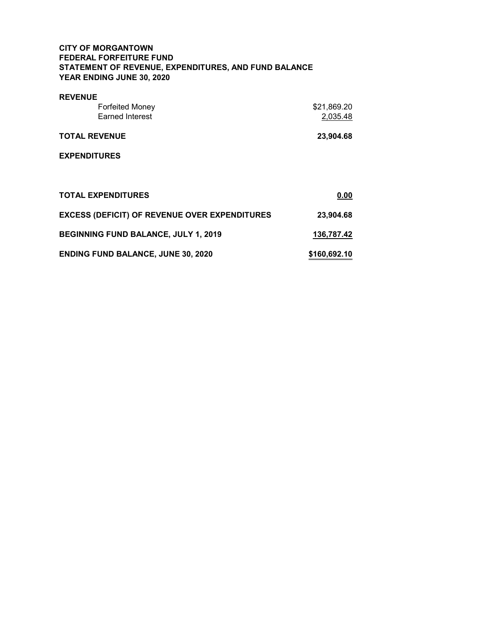# CITY OF MORGANTOWN FEDERAL FORFEITURE FUND STATEMENT OF REVENUE, EXPENDITURES, AND FUND BALANCE YEAR ENDING JUNE 30, 2020

| <b>REVENUE</b>                                       |              |
|------------------------------------------------------|--------------|
| <b>Forfeited Money</b>                               | \$21,869.20  |
| <b>Earned Interest</b>                               | 2,035.48     |
| <b>TOTAL REVENUE</b>                                 | 23,904.68    |
| <b>EXPENDITURES</b>                                  |              |
|                                                      |              |
| <b>TOTAL EXPENDITURES</b>                            | 0.00         |
| <b>EXCESS (DEFICIT) OF REVENUE OVER EXPENDITURES</b> | 23,904.68    |
| BEGINNING FUND BALANCE, JULY 1, 2019                 | 136,787.42   |
| <b>ENDING FUND BALANCE, JUNE 30, 2020</b>            | \$160,692.10 |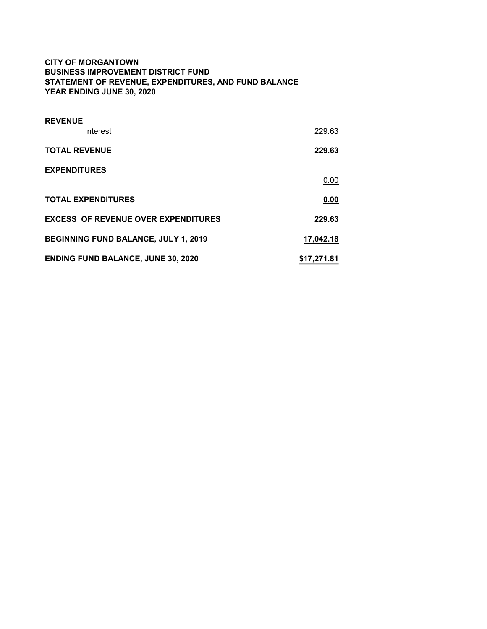# CITY OF MORGANTOWN BUSINESS IMPROVEMENT DISTRICT FUND STATEMENT OF REVENUE, EXPENDITURES, AND FUND BALANCE YEAR ENDING JUNE 30, 2020

| <b>REVENUE</b>                              |             |
|---------------------------------------------|-------------|
| Interest                                    | 229.63      |
| <b>TOTAL REVENUE</b>                        | 229.63      |
| <b>EXPENDITURES</b>                         |             |
|                                             | 0.00        |
| <b>TOTAL EXPENDITURES</b>                   | 0.00        |
| <b>EXCESS OF REVENUE OVER EXPENDITURES</b>  | 229.63      |
| <b>BEGINNING FUND BALANCE, JULY 1, 2019</b> | 17,042.18   |
| <b>ENDING FUND BALANCE, JUNE 30, 2020</b>   | \$17,271.81 |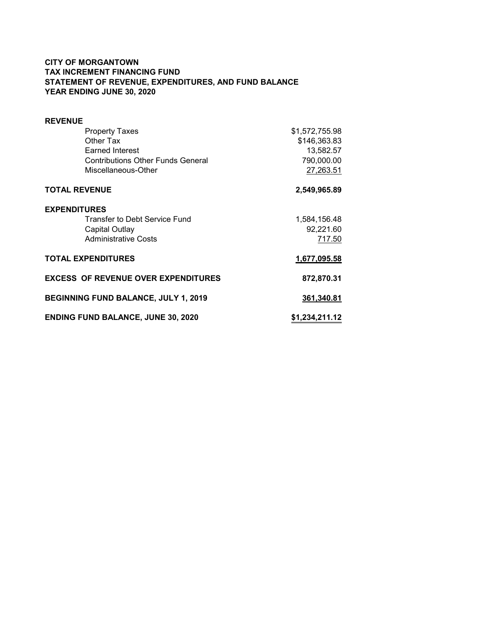# CITY OF MORGANTOWN TAX INCREMENT FINANCING FUND STATEMENT OF REVENUE, EXPENDITURES, AND FUND BALANCE YEAR ENDING JUNE 30, 2020

| <b>REVENUE</b>                             |                |
|--------------------------------------------|----------------|
| <b>Property Taxes</b>                      | \$1,572,755.98 |
| Other Tax                                  | \$146,363.83   |
| <b>Earned Interest</b>                     | 13,582.57      |
| <b>Contributions Other Funds General</b>   | 790,000.00     |
| Miscellaneous-Other                        | 27,263.51      |
| <b>TOTAL REVENUE</b>                       | 2,549,965.89   |
| <b>EXPENDITURES</b>                        |                |
| Transfer to Debt Service Fund              | 1,584,156.48   |
| Capital Outlay                             | 92,221.60      |
| <b>Administrative Costs</b>                | 717.50         |
| <b>TOTAL EXPENDITURES</b>                  | 1,677,095.58   |
| <b>EXCESS OF REVENUE OVER EXPENDITURES</b> | 872,870.31     |
| BEGINNING FUND BALANCE, JULY 1, 2019       | 361,340.81     |
| <b>ENDING FUND BALANCE, JUNE 30, 2020</b>  | \$1,234,211.12 |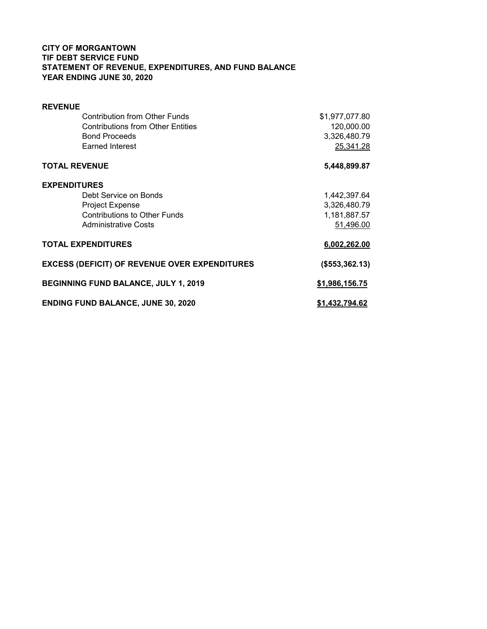# CITY OF MORGANTOWN TIF DEBT SERVICE FUND STATEMENT OF REVENUE, EXPENDITURES, AND FUND BALANCE YEAR ENDING JUNE 30, 2020

| <b>REVENUE</b>                                       |                |
|------------------------------------------------------|----------------|
| <b>Contribution from Other Funds</b>                 | \$1,977,077.80 |
| <b>Contributions from Other Entities</b>             | 120,000.00     |
| <b>Bond Proceeds</b>                                 | 3,326,480.79   |
| Earned Interest                                      | 25,341.28      |
| <b>TOTAL REVENUE</b>                                 | 5,448,899.87   |
| <b>EXPENDITURES</b>                                  |                |
| Debt Service on Bonds                                | 1,442,397.64   |
| <b>Project Expense</b>                               | 3,326,480.79   |
| <b>Contributions to Other Funds</b>                  | 1,181,887.57   |
| <b>Administrative Costs</b>                          | 51,496.00      |
| <b>TOTAL EXPENDITURES</b>                            | 6,002,262.00   |
| <b>EXCESS (DEFICIT) OF REVENUE OVER EXPENDITURES</b> | (\$553,362.13) |
| BEGINNING FUND BALANCE, JULY 1, 2019                 | \$1,986,156.75 |
| <b>ENDING FUND BALANCE, JUNE 30, 2020</b>            | \$1,432,794.62 |
|                                                      |                |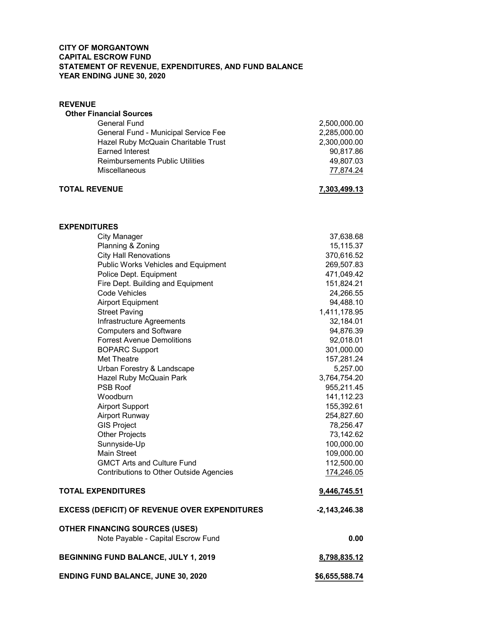### CITY OF MORGANTOWN CAPITAL ESCROW FUND STATEMENT OF REVENUE, EXPENDITURES, AND FUND BALANCE YEAR ENDING JUNE 30, 2020

# **REVENUE**  Other Financial Sources General Fund 2,500,000.00 General Fund - Municipal Service Fee 2,285,000.00 Hazel Ruby McQuain Charitable Trust 2,300,000.00 Earned Interest 90,817.86 Reimbursements Public Utilities 49,807.03 Miscellaneous 77,874.24 TOTAL REVENUE 7,303,499.13 EXPENDITURES City Manager 37,638.68 Planning & Zoning 15,115.37 City Hall Renovations 370,616.52 Public Works Vehicles and Equipment 269,507.83 Police Dept. Equipment 471,049.42 Fire Dept. Building and Equipment 151,824.21 Code Vehicles 24,266.55 Airport Equipment 2004 120 and 2006 120 and 2012 12:00 12:00 12:00 12:00 12:00 12:00 12:00 12:00 12:00 12:00 1 Street Paving 2,411,178.95 Infrastructure Agreements 32,184.01 Computers and Software 64,876.39 Forrest Avenue Demolitions 92,018.01 BOPARC Support 301,000.00 Met Theatre 157,281.24 Urban Forestry & Landscape 5,257.00<br>Hazel Ruby McQuain Park 5,764,754.20 Hazel Ruby McQuain Park PSB Roof 955,211.45 Woodburn 141,112.23 Airport Support **155,392.61** Airport Runway 254,827.60 GIS Project **78,256.47** Other Projects 73,142.62 Sunnyside-Up 100,000.00 Main Street 109,000.00 GMCT Arts and Culture Fund 112,500.00 Contributions to Other Outside Agencies 174,246.05 TOTAL EXPENDITURES 9,446,745.51 EXCESS (DEFICIT) OF REVENUE OVER EXPENDITURES -2,143,246.38 OTHER FINANCING SOURCES (USES) Note Payable - Capital Escrow Fund 0.00 BEGINNING FUND BALANCE, JULY 1, 2019 8,798,835.12

ENDING FUND BALANCE, JUNE 30, 2020 \$6,655,588.74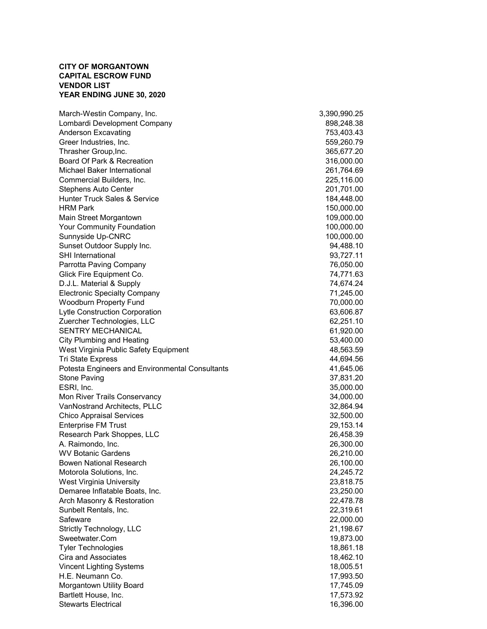### CITY OF MORGANTOWN CAPITAL ESCROW FUND VENDOR LIST YEAR ENDING JUNE 30, 2020

March-Westin Company, Inc.  $\qquad \qquad$  3,390,990.25 Lombardi Development Company 898,248.38 Anderson Excavating **753,403.43** Greer Industries, Inc. 6. The Contract of the Contract of the State of the State of the State of the State of the State of the State of the State of the State of the State of the State of the State of the State of the Stat Thrasher Group, Inc. 365,677.20 Board Of Park & Recreation 316,000.00 Michael Baker International 261,764.69 Commercial Builders, Inc. 225,116.00 Stephens Auto Center 201,701.00 Hunter Truck Sales & Service 184,448.00 HRM Park 150,000.00 Main Street Morgantown 109,000.00 Your Community Foundation 100,000.00 Sunnyside Up-CNRC 100,000.00 Sunset Outdoor Supply Inc. **94,488.10** SHI International 93,727.11 Parrotta Paving Company 76,050.00 Glick Fire Equipment Co. **74,771.63** D.J.L. Material & Supply 74,674.24 Electronic Specialty Company 71,245.00 Woodburn Property Fund 70,000.00 Lytle Construction Corporation 63,606.87 Zuercher Technologies, LLC 62,251.10 SENTRY MECHANICAL 61,920.00 City Plumbing and Heating 53,400.00 West Virginia Public Safety Equipment 48,563.59 Tri State Express 44,694.56 Potesta Engineers and Environmental Consultants 41,645.06 Stone Paving 37,831.20 ESRI, Inc. 35,000.00 Mon River Trails Conservancy 34,000.00 VanNostrand Architects, PLLC 32,864.94 Chico Appraisal Services 32,500.00 Enterprise FM Trust 29,153.14 Research Park Shoppes, LLC 26,458.39 A. Raimondo, Inc. 26,300.00 WV Botanic Gardens 26,210.00 Bowen National Research 26,100.00 Motorola Solutions, Inc. 24,245.72 West Virginia University 23,818.75 Demaree Inflatable Boats, Inc. 23,250.00 Arch Masonry & Restoration 22,478.78 Sunbelt Rentals, Inc. 22,319.61 Safeware 22,000.00 Strictly Technology, LLC 21,198.67 Sweetwater.Com 19,873.00 Tyler Technologies 18,861.18 Cira and Associates 18,462.10 Vincent Lighting Systems 18,005.51 H.E. Neumann Co. 17,993.50 Morgantown Utility Board 17,745.09 Bartlett House, Inc. 2008. The set of the set of the set of the set of the set of the set of the set of the set of the set of the set of the set of the set of the set of the set of the set of the set of the set of the set Stewarts Electrical 16,396.00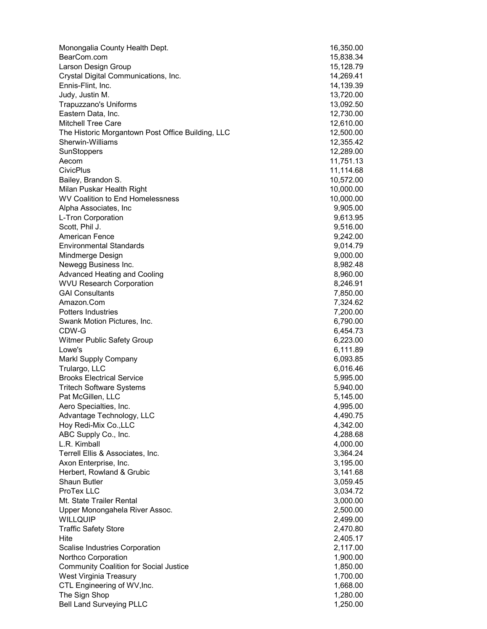| Monongalia County Health Dept.                                | 16,350.00             |
|---------------------------------------------------------------|-----------------------|
| BearCom.com                                                   | 15,838.34             |
| Larson Design Group                                           | 15,128.79             |
| Crystal Digital Communications, Inc.                          | 14,269.41             |
| Ennis-Flint, Inc.                                             | 14,139.39             |
| Judy, Justin M.                                               | 13,720.00             |
| Trapuzzano's Uniforms                                         | 13,092.50             |
| Eastern Data, Inc.                                            | 12,730.00             |
| <b>Mitchell Tree Care</b>                                     | 12,610.00             |
| The Historic Morgantown Post Office Building, LLC             | 12,500.00             |
| Sherwin-Williams                                              | 12,355.42             |
| SunStoppers                                                   | 12,289.00             |
| Aecom                                                         | 11,751.13             |
| <b>CivicPlus</b>                                              | 11,114.68             |
| Bailey, Brandon S.                                            | 10,572.00             |
| Milan Puskar Health Right<br>WV Coalition to End Homelessness | 10,000.00             |
| Alpha Associates, Inc.                                        | 10,000.00<br>9,905.00 |
| L-Tron Corporation                                            | 9,613.95              |
| Scott, Phil J.                                                | 9,516.00              |
| <b>American Fence</b>                                         | 9,242.00              |
| <b>Environmental Standards</b>                                | 9,014.79              |
| Mindmerge Design                                              | 9,000.00              |
| Newegg Business Inc.                                          | 8,982.48              |
| <b>Advanced Heating and Cooling</b>                           | 8,960.00              |
| <b>WVU Research Corporation</b>                               | 8,246.91              |
| <b>GAI Consultants</b>                                        | 7,850.00              |
| Amazon.Com                                                    | 7,324.62              |
| <b>Potters Industries</b>                                     | 7,200.00              |
| Swank Motion Pictures, Inc.                                   | 6,790.00              |
| CDW-G                                                         | 6,454.73              |
| Witmer Public Safety Group                                    | 6,223.00              |
| Lowe's                                                        | 6,111.89              |
| Markl Supply Company                                          | 6,093.85              |
| Trulargo, LLC                                                 | 6,016.46              |
| <b>Brooks Electrical Service</b>                              | 5,995.00              |
| <b>Tritech Software Systems</b>                               | 5,940.00              |
| Pat McGillen, LLC                                             | 5,145.00              |
| Aero Specialties, Inc.                                        | 4,995.00              |
| Advantage Technology, LLC                                     | 4,490.75              |
| Hoy Redi-Mix Co., LLC                                         | 4,342.00              |
| ABC Supply Co., Inc.                                          | 4,288.68              |
| L.R. Kimball<br>Terrell Ellis & Associates, Inc.              | 4,000.00              |
| Axon Enterprise, Inc.                                         | 3,364.24<br>3,195.00  |
| Herbert, Rowland & Grubic                                     | 3,141.68              |
| <b>Shaun Butler</b>                                           | 3,059.45              |
| ProTex LLC                                                    | 3,034.72              |
| Mt. State Trailer Rental                                      | 3,000.00              |
| Upper Monongahela River Assoc.                                | 2,500.00              |
| WILLQUIP                                                      | 2,499.00              |
| <b>Traffic Safety Store</b>                                   | 2,470.80              |
| Hite                                                          | 2,405.17              |
| Scalise Industries Corporation                                | 2,117.00              |
| Northco Corporation                                           | 1,900.00              |
| <b>Community Coalition for Social Justice</b>                 | 1,850.00              |
| West Virginia Treasury                                        | 1,700.00              |
| CTL Engineering of WV, Inc.                                   | 1,668.00              |
| The Sign Shop                                                 | 1,280.00              |
| <b>Bell Land Surveying PLLC</b>                               | 1,250.00              |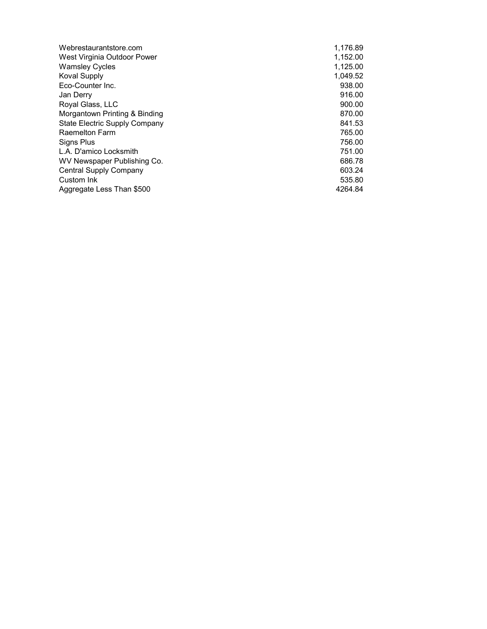| Webrestaurantstore.com               | 1,176.89 |
|--------------------------------------|----------|
| West Virginia Outdoor Power          | 1,152.00 |
| <b>Wamsley Cycles</b>                | 1,125.00 |
| <b>Koval Supply</b>                  | 1,049.52 |
| Eco-Counter Inc.                     | 938.00   |
| Jan Derry                            | 916.00   |
| Royal Glass, LLC                     | 900.00   |
| Morgantown Printing & Binding        | 870.00   |
| <b>State Electric Supply Company</b> | 841.53   |
| <b>Raemelton Farm</b>                | 765.00   |
| Signs Plus                           | 756.00   |
| L.A. D'amico Locksmith               | 751.00   |
| WV Newspaper Publishing Co.          | 686.78   |
| <b>Central Supply Company</b>        | 603.24   |
| Custom Ink                           | 535.80   |
| Aggregate Less Than \$500            | 4264.84  |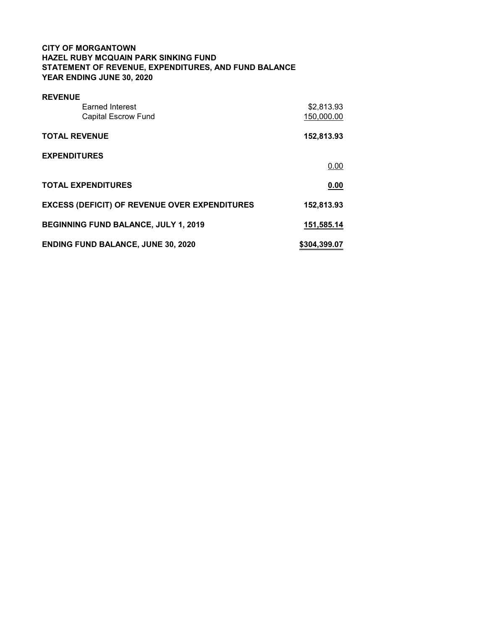# CITY OF MORGANTOWN HAZEL RUBY MCQUAIN PARK SINKING FUND STATEMENT OF REVENUE, EXPENDITURES, AND FUND BALANCE YEAR ENDING JUNE 30, 2020

| <b>REVENUE</b>                                       |              |
|------------------------------------------------------|--------------|
| <b>Earned Interest</b>                               | \$2,813.93   |
| <b>Capital Escrow Fund</b>                           | 150,000.00   |
| <b>TOTAL REVENUE</b>                                 | 152,813.93   |
| <b>EXPENDITURES</b>                                  |              |
|                                                      | 0.00         |
| <b>TOTAL EXPENDITURES</b>                            | 0.00         |
| <b>EXCESS (DEFICIT) OF REVENUE OVER EXPENDITURES</b> | 152,813.93   |
| <b>BEGINNING FUND BALANCE, JULY 1, 2019</b>          | 151,585.14   |
| <b>ENDING FUND BALANCE, JUNE 30, 2020</b>            | \$304,399.07 |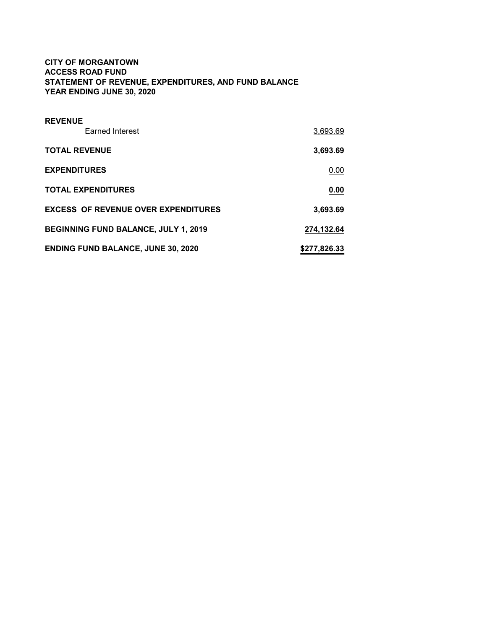# CITY OF MORGANTOWN ACCESS ROAD FUND STATEMENT OF REVENUE, EXPENDITURES, AND FUND BALANCE YEAR ENDING JUNE 30, 2020

| <b>REVENUE</b><br>Earned Interest           | 3,693.69     |
|---------------------------------------------|--------------|
| <b>TOTAL REVENUE</b>                        | 3,693.69     |
| <b>EXPENDITURES</b>                         | 0.00         |
| <b>TOTAL EXPENDITURES</b>                   | 0.00         |
| <b>EXCESS OF REVENUE OVER EXPENDITURES</b>  | 3,693.69     |
| <b>BEGINNING FUND BALANCE, JULY 1, 2019</b> | 274,132.64   |
| <b>ENDING FUND BALANCE, JUNE 30, 2020</b>   | \$277,826.33 |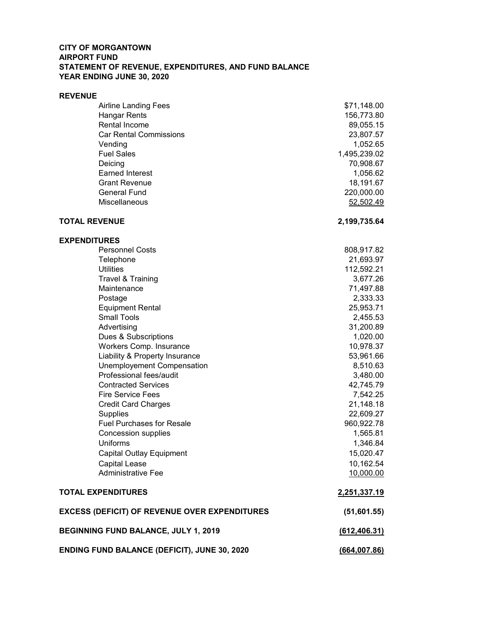### CITY OF MORGANTOWN AIRPORT FUND STATEMENT OF REVENUE, EXPENDITURES, AND FUND BALANCE YEAR ENDING JUNE 30, 2020

#### REVENUE

| <b>Airline Landing Fees</b>   | \$71,148.00  |
|-------------------------------|--------------|
| Hangar Rents                  | 156,773.80   |
| Rental Income                 | 89,055.15    |
| <b>Car Rental Commissions</b> | 23,807.57    |
| Vending                       | 1,052.65     |
| <b>Fuel Sales</b>             | 1,495,239.02 |
| Deicing                       | 70,908.67    |
| <b>Earned Interest</b>        | 1,056.62     |
| <b>Grant Revenue</b>          | 18,191.67    |
| <b>General Fund</b>           | 220,000.00   |
| <b>Miscellaneous</b>          | 52,502.49    |
|                               |              |

# TOTAL REVENUE 2,199,735.64

EXPENDITURES

| <b>Personnel Costs</b>                               | 808,917.82    |
|------------------------------------------------------|---------------|
| Telephone                                            | 21,693.97     |
| <b>Utilities</b>                                     | 112,592.21    |
| Travel & Training                                    | 3,677.26      |
| Maintenance                                          | 71,497.88     |
| Postage                                              | 2,333.33      |
| <b>Equipment Rental</b>                              | 25,953.71     |
| <b>Small Tools</b>                                   | 2,455.53      |
| Advertising                                          | 31,200.89     |
| Dues & Subscriptions                                 | 1,020.00      |
| Workers Comp. Insurance                              | 10,978.37     |
| Liability & Property Insurance                       | 53,961.66     |
| Unemployement Compensation                           | 8,510.63      |
| Professional fees/audit                              | 3,480.00      |
| <b>Contracted Services</b>                           | 42,745.79     |
| <b>Fire Service Fees</b>                             | 7,542.25      |
| <b>Credit Card Charges</b>                           | 21,148.18     |
| <b>Supplies</b>                                      | 22,609.27     |
| <b>Fuel Purchases for Resale</b>                     | 960,922.78    |
| <b>Concession supplies</b>                           | 1,565.81      |
| Uniforms                                             | 1,346.84      |
| <b>Capital Outlay Equipment</b>                      | 15,020.47     |
| <b>Capital Lease</b>                                 | 10,162.54     |
| <b>Administrative Fee</b>                            | 10,000.00     |
| <b>TOTAL EXPENDITURES</b>                            | 2,251,337.19  |
| <b>EXCESS (DEFICIT) OF REVENUE OVER EXPENDITURES</b> | (51,601.55)   |
| BEGINNING FUND BALANCE, JULY 1, 2019                 | (612, 406.31) |
| <b>ENDING FUND BALANCE (DEFICIT), JUNE 30, 2020</b>  | (664, 007.86) |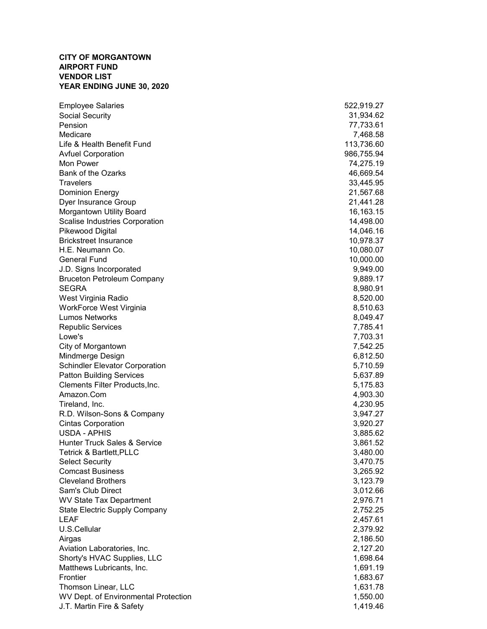### CITY OF MORGANTOWN AIRPORT FUND VENDOR LIST YEAR ENDING JUNE 30, 2020

| <b>Employee Salaries</b>              | 522,919.27 |
|---------------------------------------|------------|
| Social Security                       | 31,934.62  |
| Pension                               | 77,733.61  |
| Medicare                              | 7,468.58   |
| Life & Health Benefit Fund            | 113,736.60 |
| <b>Avfuel Corporation</b>             | 986,755.94 |
| Mon Power                             | 74,275.19  |
| Bank of the Ozarks                    |            |
|                                       | 46,669.54  |
| <b>Travelers</b>                      | 33,445.95  |
| <b>Dominion Energy</b>                | 21,567.68  |
| Dyer Insurance Group                  | 21,441.28  |
| Morgantown Utility Board              | 16,163.15  |
| Scalise Industries Corporation        | 14,498.00  |
| Pikewood Digital                      | 14,046.16  |
| <b>Brickstreet Insurance</b>          | 10,978.37  |
| H.E. Neumann Co.                      | 10,080.07  |
| <b>General Fund</b>                   | 10,000.00  |
| J.D. Signs Incorporated               | 9,949.00   |
| <b>Bruceton Petroleum Company</b>     | 9,889.17   |
| <b>SEGRA</b>                          | 8,980.91   |
| West Virginia Radio                   | 8,520.00   |
| WorkForce West Virginia               | 8,510.63   |
| <b>Lumos Networks</b>                 | 8,049.47   |
| <b>Republic Services</b>              | 7,785.41   |
| Lowe's                                | 7,703.31   |
| City of Morgantown                    | 7,542.25   |
| Mindmerge Design                      | 6,812.50   |
| <b>Schindler Elevator Corporation</b> | 5,710.59   |
| <b>Patton Building Services</b>       | 5,637.89   |
| Clements Filter Products, Inc.        | 5,175.83   |
| Amazon.Com                            | 4,903.30   |
| Tireland, Inc.                        | 4,230.95   |
| R.D. Wilson-Sons & Company            | 3,947.27   |
| <b>Cintas Corporation</b>             | 3,920.27   |
| USDA - APHIS                          | 3,885.62   |
| Hunter Truck Sales & Service          | 3,861.52   |
| <b>Tetrick &amp; Bartlett, PLLC</b>   | 3,480.00   |
| <b>Select Security</b>                | 3,470.75   |
| <b>Comcast Business</b>               | 3,265.92   |
| <b>Cleveland Brothers</b>             |            |
|                                       | 3,123.79   |
| Sam's Club Direct                     | 3,012.66   |
| <b>WV State Tax Department</b>        | 2,976.71   |
| <b>State Electric Supply Company</b>  | 2,752.25   |
| LEAF                                  | 2,457.61   |
| U.S.Cellular                          | 2,379.92   |
| Airgas                                | 2,186.50   |
| Aviation Laboratories, Inc.           | 2,127.20   |
| Shorty's HVAC Supplies, LLC           | 1,698.64   |
| Matthews Lubricants, Inc.             | 1,691.19   |
| Frontier                              | 1,683.67   |
| Thomson Linear, LLC                   | 1,631.78   |
| WV Dept. of Environmental Protection  | 1,550.00   |
| J.T. Martin Fire & Safety             | 1,419.46   |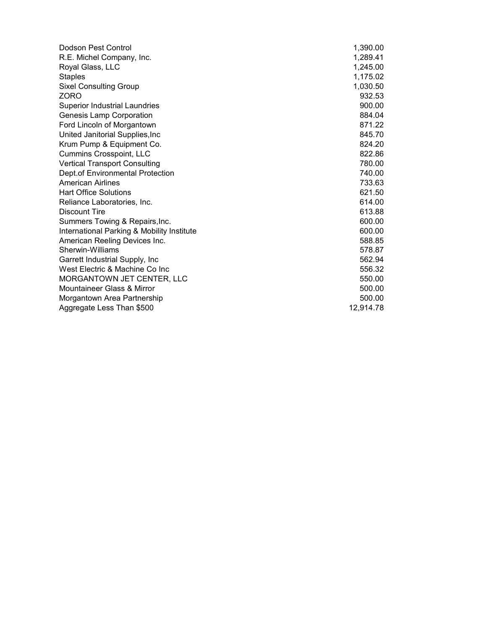| Dodson Pest Control                        | 1,390.00  |
|--------------------------------------------|-----------|
| R.E. Michel Company, Inc.                  | 1,289.41  |
| Royal Glass, LLC                           | 1,245.00  |
| <b>Staples</b>                             | 1,175.02  |
| <b>Sixel Consulting Group</b>              | 1,030.50  |
| <b>ZORO</b>                                | 932.53    |
| <b>Superior Industrial Laundries</b>       | 900.00    |
| <b>Genesis Lamp Corporation</b>            | 884.04    |
| Ford Lincoln of Morgantown                 | 871.22    |
| United Janitorial Supplies, Inc.           | 845.70    |
| Krum Pump & Equipment Co.                  | 824.20    |
| <b>Cummins Crosspoint, LLC</b>             | 822.86    |
| <b>Vertical Transport Consulting</b>       | 780.00    |
| Dept.of Environmental Protection           | 740.00    |
| <b>American Airlines</b>                   | 733.63    |
| <b>Hart Office Solutions</b>               | 621.50    |
| Reliance Laboratories, Inc.                | 614.00    |
| <b>Discount Tire</b>                       | 613.88    |
| Summers Towing & Repairs, Inc.             | 600.00    |
| International Parking & Mobility Institute | 600.00    |
| American Reeling Devices Inc.              | 588.85    |
| Sherwin-Williams                           | 578.87    |
| Garrett Industrial Supply, Inc             | 562.94    |
| West Electric & Machine Co Inc             | 556.32    |
| MORGANTOWN JET CENTER, LLC                 | 550.00    |
| Mountaineer Glass & Mirror                 | 500.00    |
| Morgantown Area Partnership                | 500.00    |
| Aggregate Less Than \$500                  | 12,914.78 |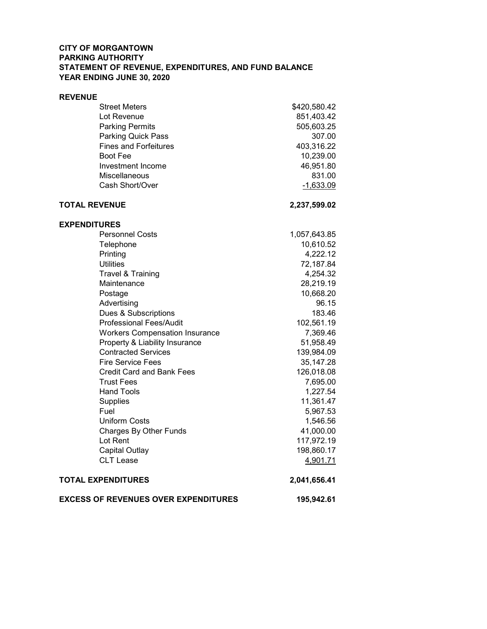# CITY OF MORGANTOWN PARKING AUTHORITY STATEMENT OF REVENUE, EXPENDITURES, AND FUND BALANCE YEAR ENDING JUNE 30, 2020

#### REVENUE

|                           | <b>EXCESS OF REVENUES OVER EXPENDITURES</b> | 195,942.61   |
|---------------------------|---------------------------------------------|--------------|
| <b>TOTAL EXPENDITURES</b> |                                             | 2,041,656.41 |
|                           | <b>CLT Lease</b>                            | 4,901.71     |
|                           | Capital Outlay                              | 198,860.17   |
|                           | Lot Rent                                    | 117,972.19   |
|                           | Charges By Other Funds                      | 41,000.00    |
|                           | <b>Uniform Costs</b>                        | 1,546.56     |
| Fuel                      |                                             | 5,967.53     |
|                           | <b>Supplies</b>                             | 11,361.47    |
|                           | <b>Hand Tools</b>                           | 1,227.54     |
|                           | <b>Trust Fees</b>                           | 7,695.00     |
|                           | <b>Credit Card and Bank Fees</b>            | 126,018.08   |
|                           | <b>Fire Service Fees</b>                    | 35,147.28    |
|                           | <b>Contracted Services</b>                  | 139,984.09   |
|                           | Property & Liability Insurance              | 51,958.49    |
|                           | <b>Workers Compensation Insurance</b>       | 7,369.46     |
|                           | <b>Professional Fees/Audit</b>              | 102,561.19   |
|                           | Dues & Subscriptions                        | 183.46       |
|                           | Advertising                                 | 96.15        |
|                           | Postage                                     | 10,668.20    |
|                           | Maintenance                                 | 28,219.19    |
|                           | Travel & Training                           | 4,254.32     |
|                           | <b>Utilities</b>                            | 72,187.84    |
|                           | Printing                                    | 4,222.12     |
|                           | Telephone                                   | 10,610.52    |
|                           | <b>Personnel Costs</b>                      | 1,057,643.85 |
| <b>EXPENDITURES</b>       |                                             |              |
| <b>TOTAL REVENUE</b>      |                                             | 2,237,599.02 |
|                           |                                             |              |
|                           | Cash Short/Over                             | $-1,633.09$  |
|                           | Miscellaneous                               | 831.00       |
|                           | Investment Income                           | 46,951.80    |
|                           | <b>Boot Fee</b>                             | 10,239.00    |
|                           | <b>Fines and Forfeitures</b>                | 403,316.22   |
|                           | Parking Quick Pass                          | 307.00       |
|                           | <b>Parking Permits</b>                      | 505,603.25   |
|                           | Lot Revenue                                 | 851,403.42   |
|                           | <b>Street Meters</b>                        | \$420,580.42 |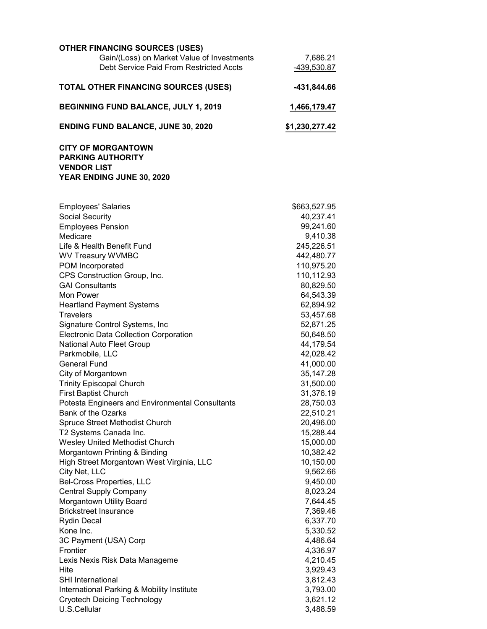| <b>OTHER FINANCING SOURCES (USES)</b>       |                |
|---------------------------------------------|----------------|
| Gain/(Loss) on Market Value of Investments  | 7,686.21       |
| Debt Service Paid From Restricted Accts     | -439,530.87    |
| <b>TOTAL OTHER FINANCING SOURCES (USES)</b> | -431,844.66    |
| <b>BEGINNING FUND BALANCE, JULY 1, 2019</b> | 1,466,179.47   |
| <b>ENDING FUND BALANCE, JUNE 30, 2020</b>   | \$1,230,277.42 |
| <b>CITY OF MORGANTOWN</b>                   |                |
| <b>PARKING AUTHORITY</b>                    |                |
| <b>VENDOR LIST</b>                          |                |

YEAR ENDING JUNE 30, 2020

| <b>Employees' Salaries</b>                      | \$663,527.95 |
|-------------------------------------------------|--------------|
| Social Security                                 | 40,237.41    |
| <b>Employees Pension</b>                        | 99,241.60    |
| Medicare                                        | 9,410.38     |
| Life & Health Benefit Fund                      | 245,226.51   |
| WV Treasury WVMBC                               | 442,480.77   |
| POM Incorporated                                | 110,975.20   |
| CPS Construction Group, Inc.                    | 110,112.93   |
| <b>GAI Consultants</b>                          | 80,829.50    |
| Mon Power                                       | 64,543.39    |
| <b>Heartland Payment Systems</b>                | 62,894.92    |
| Travelers                                       | 53,457.68    |
| Signature Control Systems, Inc                  | 52,871.25    |
| <b>Electronic Data Collection Corporation</b>   | 50,648.50    |
| National Auto Fleet Group                       | 44,179.54    |
| Parkmobile, LLC                                 | 42,028.42    |
| <b>General Fund</b>                             | 41,000.00    |
| City of Morgantown                              | 35, 147. 28  |
| <b>Trinity Episcopal Church</b>                 | 31,500.00    |
| <b>First Baptist Church</b>                     | 31,376.19    |
| Potesta Engineers and Environmental Consultants | 28,750.03    |
| <b>Bank of the Ozarks</b>                       | 22,510.21    |
| Spruce Street Methodist Church                  | 20,496.00    |
| T2 Systems Canada Inc.                          | 15,288.44    |
| Wesley United Methodist Church                  | 15,000.00    |
| Morgantown Printing & Binding                   | 10,382.42    |
| High Street Morgantown West Virginia, LLC       | 10,150.00    |
| City Net, LLC                                   | 9,562.66     |
| <b>Bel-Cross Properties, LLC</b>                | 9,450.00     |
| <b>Central Supply Company</b>                   | 8,023.24     |
| Morgantown Utility Board                        | 7,644.45     |
| <b>Brickstreet Insurance</b>                    | 7,369.46     |
| <b>Rydin Decal</b>                              | 6,337.70     |
| Kone Inc.                                       | 5,330.52     |
| 3C Payment (USA) Corp                           | 4,486.64     |
| Frontier                                        | 4,336.97     |
| Lexis Nexis Risk Data Manageme                  | 4,210.45     |
| Hite                                            | 3,929.43     |
| <b>SHI</b> International                        | 3,812.43     |
| International Parking & Mobility Institute      | 3,793.00     |
| <b>Cryotech Deicing Technology</b>              | 3,621.12     |
| U.S.Cellular                                    | 3,488.59     |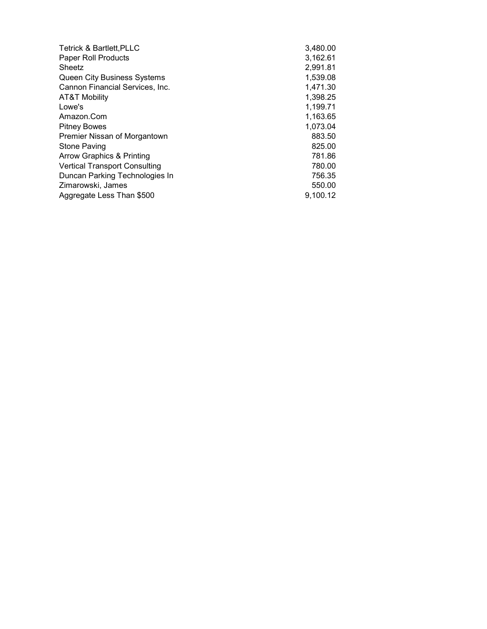| <b>Tetrick &amp; Bartlett, PLLC</b>  | 3,480.00 |
|--------------------------------------|----------|
| Paper Roll Products                  | 3,162.61 |
| Sheetz                               | 2,991.81 |
| <b>Queen City Business Systems</b>   | 1,539.08 |
| Cannon Financial Services, Inc.      | 1,471.30 |
| <b>AT&amp;T Mobility</b>             | 1,398.25 |
| Lowe's                               | 1,199.71 |
| Amazon.Com                           | 1,163.65 |
| <b>Pitney Bowes</b>                  | 1,073.04 |
| Premier Nissan of Morgantown         | 883.50   |
| <b>Stone Paving</b>                  | 825.00   |
| Arrow Graphics & Printing            | 781.86   |
| <b>Vertical Transport Consulting</b> | 780.00   |
| Duncan Parking Technologies In       | 756.35   |
| Zimarowski, James                    | 550.00   |
| Aggregate Less Than \$500            | 9,100.12 |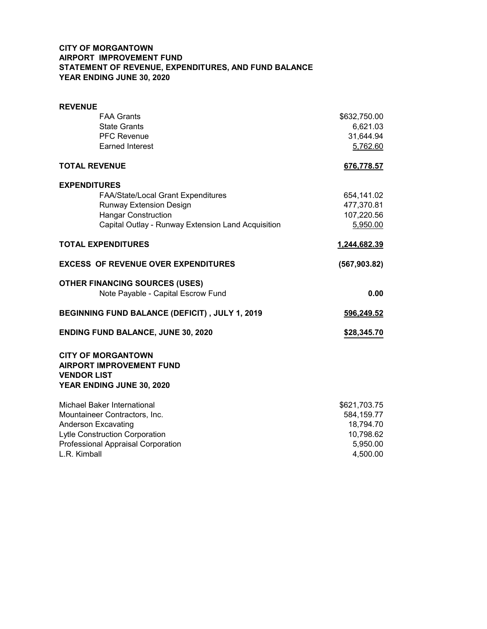# CITY OF MORGANTOWN AIRPORT IMPROVEMENT FUND STATEMENT OF REVENUE, EXPENDITURES, AND FUND BALANCE YEAR ENDING JUNE 30, 2020

| <b>REVENUE</b>                                                                                                  |               |
|-----------------------------------------------------------------------------------------------------------------|---------------|
| <b>FAA Grants</b>                                                                                               | \$632,750.00  |
| <b>State Grants</b>                                                                                             | 6,621.03      |
| <b>PFC Revenue</b>                                                                                              | 31,644.94     |
| <b>Earned Interest</b>                                                                                          | 5,762.60      |
| <b>TOTAL REVENUE</b>                                                                                            | 676,778.57    |
| <b>EXPENDITURES</b>                                                                                             |               |
| FAA/State/Local Grant Expenditures                                                                              | 654,141.02    |
| <b>Runway Extension Design</b>                                                                                  | 477,370.81    |
| <b>Hangar Construction</b>                                                                                      | 107,220.56    |
| Capital Outlay - Runway Extension Land Acquisition                                                              | 5,950.00      |
| <b>TOTAL EXPENDITURES</b>                                                                                       | 1,244,682.39  |
| <b>EXCESS OF REVENUE OVER EXPENDITURES</b>                                                                      | (567, 903.82) |
| <b>OTHER FINANCING SOURCES (USES)</b>                                                                           |               |
| Note Payable - Capital Escrow Fund                                                                              | 0.00          |
| BEGINNING FUND BALANCE (DEFICIT), JULY 1, 2019                                                                  | 596,249.52    |
| <b>ENDING FUND BALANCE, JUNE 30, 2020</b>                                                                       | \$28,345.70   |
| <b>CITY OF MORGANTOWN</b><br><b>AIRPORT IMPROVEMENT FUND</b><br><b>VENDOR LIST</b><br>YEAR ENDING JUNE 30, 2020 |               |
| Michael Baker International                                                                                     | \$621,703.75  |
| Mountaineer Contractors, Inc.                                                                                   | 584,159.77    |
| <b>Anderson Excavating</b>                                                                                      | 18,794.70     |
| Lytle Construction Corporation                                                                                  | 10,798.62     |
| Professional Appraisal Corporation                                                                              | 5,950.00      |
| L.R. Kimball                                                                                                    | 4,500.00      |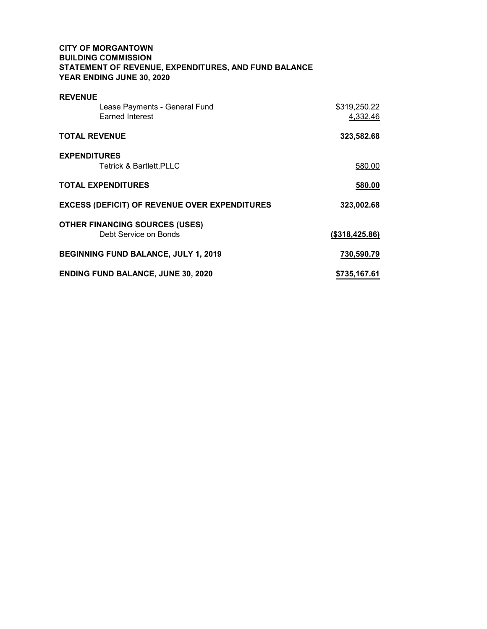# CITY OF MORGANTOWN BUILDING COMMISSION STATEMENT OF REVENUE, EXPENDITURES, AND FUND BALANCE YEAR ENDING JUNE 30, 2020

| <b>REVENUE</b>                                       |                |
|------------------------------------------------------|----------------|
| Lease Payments - General Fund                        | \$319,250.22   |
| <b>Earned Interest</b>                               | 4,332.46       |
| <b>TOTAL REVENUE</b>                                 | 323,582.68     |
| <b>EXPENDITURES</b>                                  |                |
| <b>Tetrick &amp; Bartlett, PLLC</b>                  | 580.00         |
| <b>TOTAL EXPENDITURES</b>                            | 580.00         |
| <b>EXCESS (DEFICIT) OF REVENUE OVER EXPENDITURES</b> | 323,002.68     |
| <b>OTHER FINANCING SOURCES (USES)</b>                |                |
| Debt Service on Bonds                                | (\$318,425.86) |
| <b>BEGINNING FUND BALANCE, JULY 1, 2019</b>          | 730,590.79     |
| <b>ENDING FUND BALANCE, JUNE 30, 2020</b>            | \$735,167.61   |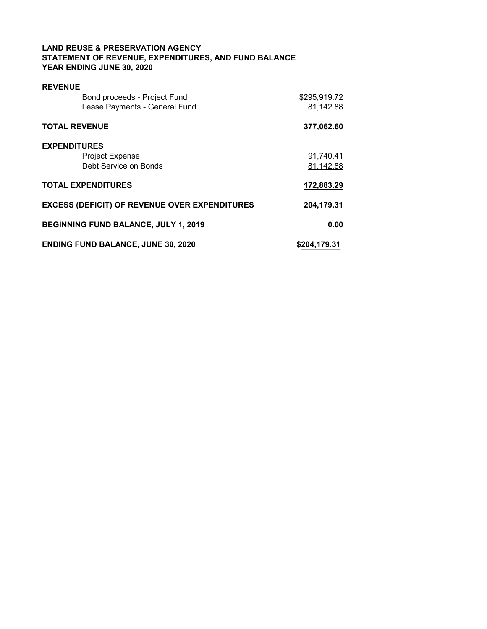### LAND REUSE & PRESERVATION AGENCY STATEMENT OF REVENUE, EXPENDITURES, AND FUND BALANCE YEAR ENDING JUNE 30, 2020

| <b>REVENUE</b>                                       |              |
|------------------------------------------------------|--------------|
| Bond proceeds - Project Fund                         | \$295,919.72 |
| Lease Payments - General Fund                        | 81,142.88    |
| <b>TOTAL REVENUE</b>                                 | 377,062.60   |
| <b>EXPENDITURES</b>                                  |              |
| <b>Project Expense</b>                               | 91,740.41    |
| Debt Service on Bonds                                | 81,142.88    |
| <b>TOTAL EXPENDITURES</b>                            | 172,883.29   |
| <b>EXCESS (DEFICIT) OF REVENUE OVER EXPENDITURES</b> | 204,179.31   |
| <b>BEGINNING FUND BALANCE, JULY 1, 2019</b>          | 0.00         |
| <b>ENDING FUND BALANCE, JUNE 30, 2020</b>            | \$204,179.31 |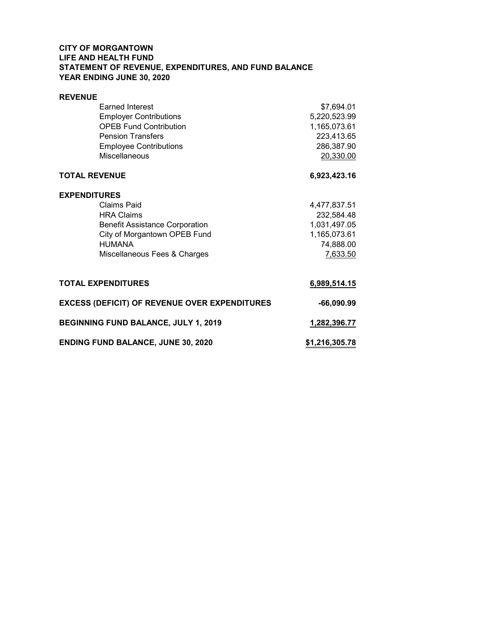# CITY OF MORGANTOWN LIFE AND HEALTH FUND STATEMENT OF REVENUE, EXPENDITURES, AND FUND BALANCE YEAR ENDING JUNE 30, 2020

| <b>REVENUE</b>       |                                                      |                |
|----------------------|------------------------------------------------------|----------------|
|                      | <b>Earned Interest</b>                               | \$7,694.01     |
|                      | <b>Employer Contributions</b>                        | 5,220,523.99   |
|                      | <b>OPEB Fund Contribution</b>                        | 1,165,073.61   |
|                      | <b>Pension Transfers</b>                             | 223,413.65     |
|                      | <b>Employee Contributions</b>                        | 286,387.90     |
|                      | <b>Miscellaneous</b>                                 | 20,330.00      |
|                      |                                                      |                |
| <b>TOTAL REVENUE</b> |                                                      | 6,923,423.16   |
| <b>EXPENDITURES</b>  |                                                      |                |
|                      | Claims Paid                                          | 4,477,837.51   |
|                      | <b>HRA Claims</b>                                    | 232,584.48     |
|                      | <b>Benefit Assistance Corporation</b>                | 1,031,497.05   |
|                      | City of Morgantown OPEB Fund                         | 1,165,073.61   |
|                      | <b>HUMANA</b>                                        | 74,888.00      |
|                      | Miscellaneous Fees & Charges                         | 7,633.50       |
|                      |                                                      |                |
|                      | <b>TOTAL EXPENDITURES</b>                            | 6,989,514.15   |
|                      | <b>EXCESS (DEFICIT) OF REVENUE OVER EXPENDITURES</b> | $-66,090.99$   |
|                      | <b>BEGINNING FUND BALANCE, JULY 1, 2019</b>          | 1,282,396.77   |
|                      | <b>ENDING FUND BALANCE, JUNE 30, 2020</b>            | \$1,216,305.78 |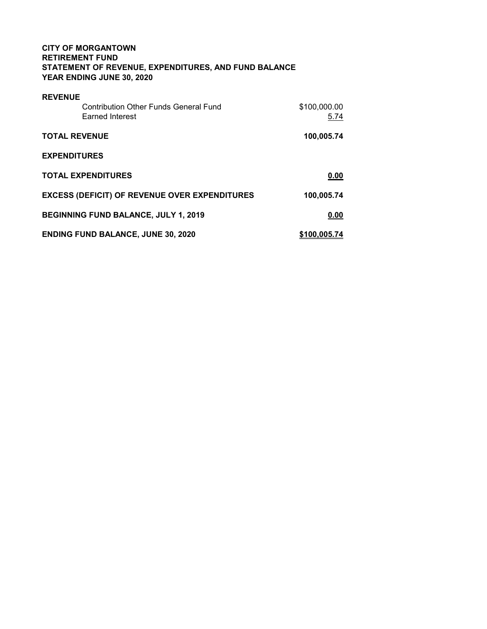# CITY OF MORGANTOWN RETIREMENT FUND STATEMENT OF REVENUE, EXPENDITURES, AND FUND BALANCE YEAR ENDING JUNE 30, 2020

| <b>REVENUE</b>                                       |              |
|------------------------------------------------------|--------------|
| <b>Contribution Other Funds General Fund</b>         | \$100,000.00 |
| <b>Earned Interest</b>                               | 5.74         |
|                                                      |              |
| <b>TOTAL REVENUE</b>                                 | 100,005.74   |
|                                                      |              |
| <b>EXPENDITURES</b>                                  |              |
| <b>TOTAL EXPENDITURES</b>                            |              |
|                                                      | 0.00         |
| <b>EXCESS (DEFICIT) OF REVENUE OVER EXPENDITURES</b> | 100,005.74   |
|                                                      |              |
| <b>BEGINNING FUND BALANCE, JULY 1, 2019</b>          | 0.00         |
|                                                      |              |
| <b>ENDING FUND BALANCE, JUNE 30, 2020</b>            | \$100,005,74 |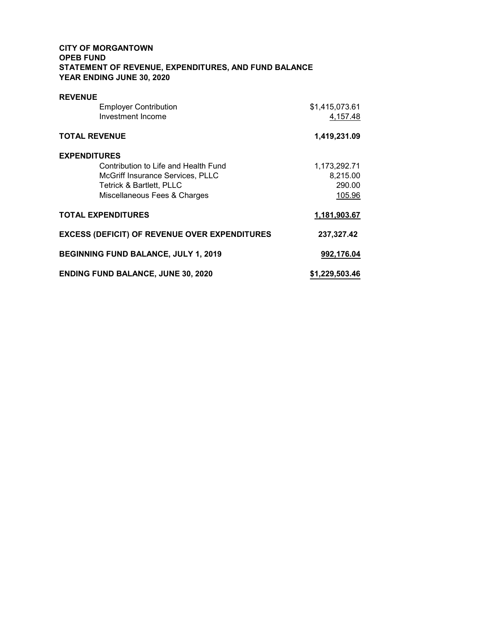# CITY OF MORGANTOWN OPEB FUND STATEMENT OF REVENUE, EXPENDITURES, AND FUND BALANCE YEAR ENDING JUNE 30, 2020

| <b>REVENUE</b>                                       |                |
|------------------------------------------------------|----------------|
| <b>Employer Contribution</b>                         | \$1,415,073.61 |
| Investment Income                                    | 4,157.48       |
| <b>TOTAL REVENUE</b>                                 | 1,419,231.09   |
| <b>EXPENDITURES</b>                                  |                |
| Contribution to Life and Health Fund                 | 1,173,292.71   |
| McGriff Insurance Services, PLLC                     | 8,215.00       |
| <b>Tetrick &amp; Bartlett, PLLC</b>                  | 290.00         |
| Miscellaneous Fees & Charges                         | 105.96         |
| <b>TOTAL EXPENDITURES</b>                            | 1,181,903.67   |
| <b>EXCESS (DEFICIT) OF REVENUE OVER EXPENDITURES</b> | 237,327.42     |
| <b>BEGINNING FUND BALANCE, JULY 1, 2019</b>          | 992,176.04     |
| <b>ENDING FUND BALANCE, JUNE 30, 2020</b>            | \$1,229,503.46 |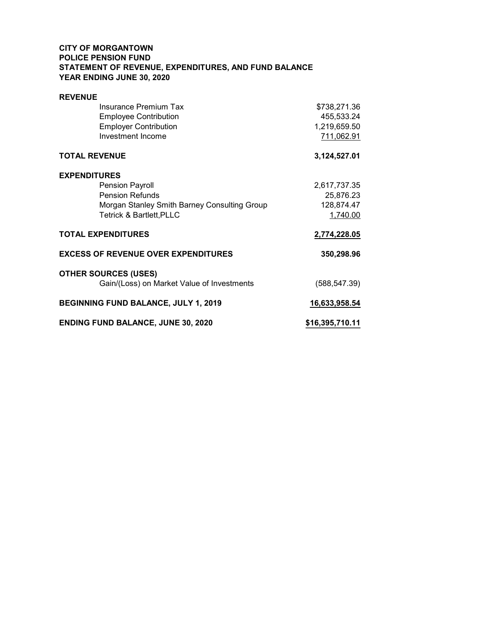# CITY OF MORGANTOWN POLICE PENSION FUND STATEMENT OF REVENUE, EXPENDITURES, AND FUND BALANCE YEAR ENDING JUNE 30, 2020

| <b>REVENUE</b>                               |                 |
|----------------------------------------------|-----------------|
| Insurance Premium Tax                        | \$738,271.36    |
| <b>Employee Contribution</b>                 | 455,533.24      |
| <b>Employer Contribution</b>                 | 1,219,659.50    |
| Investment Income                            | 711,062.91      |
| <b>TOTAL REVENUE</b>                         | 3,124,527.01    |
| <b>EXPENDITURES</b>                          |                 |
| <b>Pension Payroll</b>                       | 2,617,737.35    |
| <b>Pension Refunds</b>                       | 25,876.23       |
| Morgan Stanley Smith Barney Consulting Group | 128,874.47      |
| <b>Tetrick &amp; Bartlett, PLLC</b>          | 1,740.00        |
| <b>TOTAL EXPENDITURES</b>                    | 2,774,228.05    |
| <b>EXCESS OF REVENUE OVER EXPENDITURES</b>   | 350,298.96      |
| <b>OTHER SOURCES (USES)</b>                  |                 |
| Gain/(Loss) on Market Value of Investments   | (588, 547.39)   |
| <b>BEGINNING FUND BALANCE, JULY 1, 2019</b>  | 16,633,958.54   |
| <b>ENDING FUND BALANCE, JUNE 30, 2020</b>    | \$16,395,710.11 |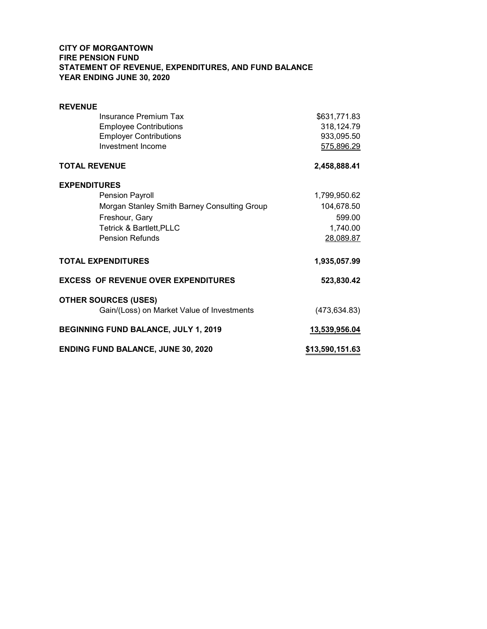# CITY OF MORGANTOWN FIRE PENSION FUND STATEMENT OF REVENUE, EXPENDITURES, AND FUND BALANCE YEAR ENDING JUNE 30, 2020

| <b>REVENUE</b>                               |                 |
|----------------------------------------------|-----------------|
| Insurance Premium Tax                        | \$631,771.83    |
| <b>Employee Contributions</b>                | 318,124.79      |
| <b>Employer Contributions</b>                | 933,095.50      |
| Investment Income                            | 575,896.29      |
| <b>TOTAL REVENUE</b>                         | 2,458,888.41    |
| <b>EXPENDITURES</b>                          |                 |
| <b>Pension Payroll</b>                       | 1,799,950.62    |
| Morgan Stanley Smith Barney Consulting Group | 104,678.50      |
| Freshour, Gary                               | 599.00          |
| <b>Tetrick &amp; Bartlett, PLLC</b>          | 1,740.00        |
| <b>Pension Refunds</b>                       | 28,089.87       |
| <b>TOTAL EXPENDITURES</b>                    | 1,935,057.99    |
| <b>EXCESS OF REVENUE OVER EXPENDITURES</b>   | 523,830.42      |
| <b>OTHER SOURCES (USES)</b>                  |                 |
| Gain/(Loss) on Market Value of Investments   | (473, 634.83)   |
| BEGINNING FUND BALANCE, JULY 1, 2019         | 13,539,956.04   |
| <b>ENDING FUND BALANCE, JUNE 30, 2020</b>    | \$13,590,151.63 |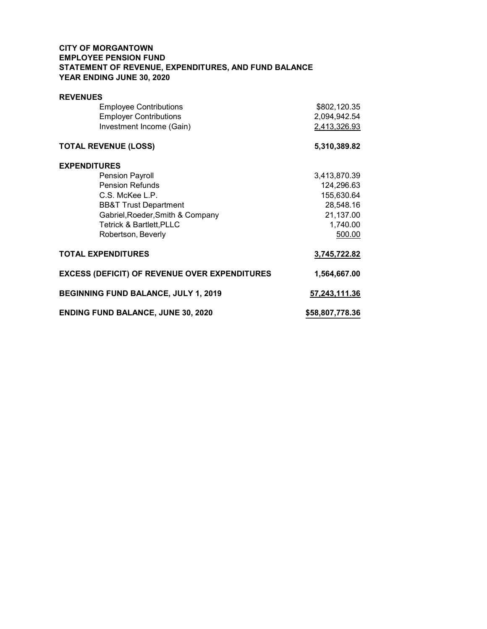# CITY OF MORGANTOWN EMPLOYEE PENSION FUND STATEMENT OF REVENUE, EXPENDITURES, AND FUND BALANCE YEAR ENDING JUNE 30, 2020

| <b>REVENUES</b>                                      |                 |
|------------------------------------------------------|-----------------|
| <b>Employee Contributions</b>                        | \$802,120.35    |
| <b>Employer Contributions</b>                        | 2,094,942.54    |
| Investment Income (Gain)                             | 2,413,326.93    |
| <b>TOTAL REVENUE (LOSS)</b>                          | 5,310,389.82    |
| <b>EXPENDITURES</b>                                  |                 |
| Pension Payroll                                      | 3,413,870.39    |
| <b>Pension Refunds</b>                               | 124,296.63      |
| C.S. McKee L.P.                                      | 155,630.64      |
| <b>BB&amp;T Trust Department</b>                     | 28,548.16       |
| Gabriel, Roeder, Smith & Company                     | 21,137.00       |
| <b>Tetrick &amp; Bartlett, PLLC</b>                  | 1,740.00        |
| Robertson, Beverly                                   | 500.00          |
| <b>TOTAL EXPENDITURES</b>                            | 3,745,722.82    |
| <b>EXCESS (DEFICIT) OF REVENUE OVER EXPENDITURES</b> | 1,564,667.00    |
| <b>BEGINNING FUND BALANCE, JULY 1, 2019</b>          | 57,243,111.36   |
| <b>ENDING FUND BALANCE, JUNE 30, 2020</b>            | \$58,807,778.36 |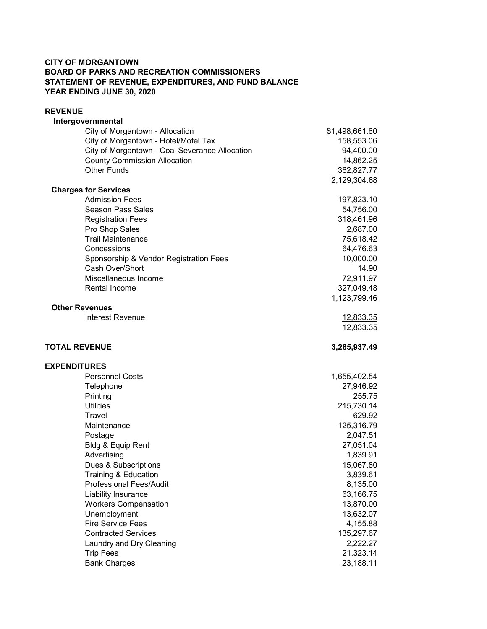### CITY OF MORGANTOWN BOARD OF PARKS AND RECREATION COMMISSIONERS STATEMENT OF REVENUE, EXPENDITURES, AND FUND BALANCE YEAR ENDING JUNE 30, 2020

### REVENUE

| Intergovernmental                              |                         |
|------------------------------------------------|-------------------------|
| City of Morgantown - Allocation                | \$1,498,661.60          |
| City of Morgantown - Hotel/Motel Tax           | 158,553.06              |
| City of Morgantown - Coal Severance Allocation | 94,400.00               |
| <b>County Commission Allocation</b>            | 14,862.25               |
| <b>Other Funds</b>                             | 362,827.77              |
|                                                | 2,129,304.68            |
| <b>Charges for Services</b>                    |                         |
| <b>Admission Fees</b>                          | 197,823.10              |
| <b>Season Pass Sales</b>                       | 54,756.00<br>318,461.96 |
| <b>Registration Fees</b><br>Pro Shop Sales     | 2,687.00                |
| <b>Trail Maintenance</b>                       | 75,618.42               |
| Concessions                                    | 64,476.63               |
| Sponsorship & Vendor Registration Fees         | 10,000.00               |
| Cash Over/Short                                | 14.90                   |
| Miscellaneous Income                           | 72,911.97               |
| Rental Income                                  | 327,049.48              |
|                                                | 1,123,799.46            |
| <b>Other Revenues</b>                          |                         |
| <b>Interest Revenue</b>                        | <u>12,833.35</u>        |
|                                                | 12,833.35               |
|                                                |                         |
| <b>TOTAL REVENUE</b>                           |                         |
|                                                | 3,265,937.49            |
|                                                |                         |
| <b>EXPENDITURES</b>                            |                         |
| <b>Personnel Costs</b>                         | 1,655,402.54            |
| Telephone                                      | 27,946.92               |
| Printing<br><b>Utilities</b>                   | 255.75                  |
| Travel                                         | 215,730.14<br>629.92    |
| Maintenance                                    | 125,316.79              |
| Postage                                        | 2,047.51                |
| Bldg & Equip Rent                              | 27,051.04               |
| Advertising                                    | 1,839.91                |
| Dues & Subscriptions                           | 15,067.80               |
| Training & Education                           | 3,839.61                |
| <b>Professional Fees/Audit</b>                 | 8,135.00                |
| Liability Insurance                            | 63,166.75               |
| <b>Workers Compensation</b>                    | 13,870.00               |
| Unemployment                                   | 13,632.07               |
| <b>Fire Service Fees</b>                       | 4,155.88                |
| <b>Contracted Services</b>                     | 135,297.67              |
| Laundry and Dry Cleaning                       | 2,222.27                |
| <b>Trip Fees</b><br><b>Bank Charges</b>        | 21,323.14<br>23,188.11  |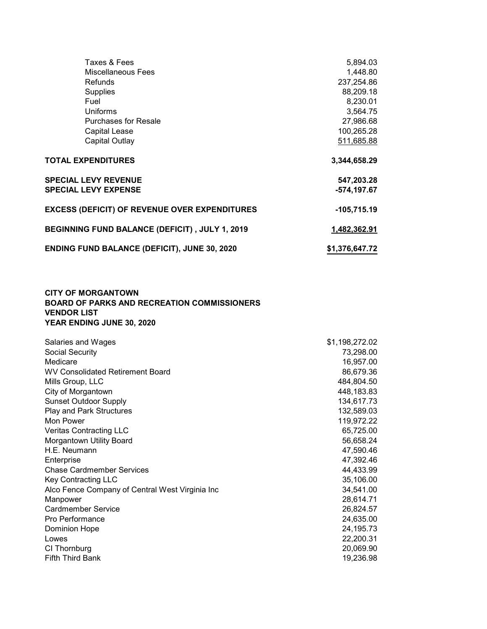| Taxes & Fees                                         | 5,894.03       |
|------------------------------------------------------|----------------|
| Miscellaneous Fees                                   | 1,448.80       |
| Refunds                                              | 237,254.86     |
| <b>Supplies</b>                                      | 88,209.18      |
| Fuel                                                 | 8,230.01       |
| Uniforms                                             | 3,564.75       |
| <b>Purchases for Resale</b>                          | 27,986.68      |
| <b>Capital Lease</b>                                 | 100,265.28     |
| Capital Outlay                                       | 511,685.88     |
| <b>TOTAL EXPENDITURES</b>                            | 3,344,658.29   |
| <b>SPECIAL LEVY REVENUE</b>                          | 547,203.28     |
| <b>SPECIAL LEVY EXPENSE</b>                          | -574,197.67    |
| <b>EXCESS (DEFICIT) OF REVENUE OVER EXPENDITURES</b> | $-105,715.19$  |
| BEGINNING FUND BALANCE (DEFICIT), JULY 1, 2019       | 1,482,362.91   |
| <b>ENDING FUND BALANCE (DEFICIT), JUNE 30, 2020</b>  | \$1,376,647.72 |

# CITY OF MORGANTOWN BOARD OF PARKS AND RECREATION COMMISSIONERS VENDOR LIST YEAR ENDING JUNE 30, 2020

| Salaries and Wages                              | \$1,198,272.02 |
|-------------------------------------------------|----------------|
| Social Security                                 | 73,298.00      |
| Medicare                                        | 16,957.00      |
| WV Consolidated Retirement Board                | 86,679.36      |
| Mills Group, LLC                                | 484,804.50     |
| City of Morgantown                              | 448,183.83     |
| <b>Sunset Outdoor Supply</b>                    | 134,617.73     |
| <b>Play and Park Structures</b>                 | 132,589.03     |
| Mon Power                                       | 119,972.22     |
| <b>Veritas Contracting LLC</b>                  | 65,725.00      |
| <b>Morgantown Utility Board</b>                 | 56,658.24      |
| H.E. Neumann                                    | 47,590.46      |
| Enterprise                                      | 47,392.46      |
| <b>Chase Cardmember Services</b>                | 44,433.99      |
| Key Contracting LLC                             | 35,106.00      |
| Alco Fence Company of Central West Virginia Inc | 34,541.00      |
| Manpower                                        | 28,614.71      |
| <b>Cardmember Service</b>                       | 26,824.57      |
| Pro Performance                                 | 24,635.00      |
| <b>Dominion Hope</b>                            | 24, 195. 73    |
| Lowes                                           | 22,200.31      |
| CI Thornburg                                    | 20,069.90      |
| <b>Fifth Third Bank</b>                         | 19,236.98      |
|                                                 |                |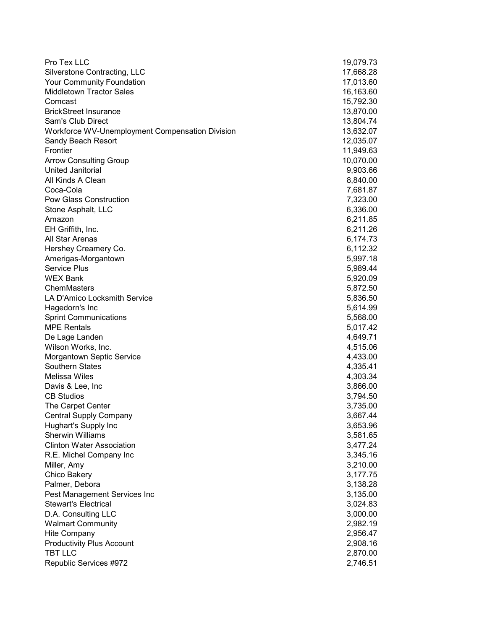| Pro Tex LLC                                         | 19,079.73            |
|-----------------------------------------------------|----------------------|
| Silverstone Contracting, LLC                        | 17,668.28            |
| Your Community Foundation                           | 17,013.60            |
| <b>Middletown Tractor Sales</b>                     | 16,163.60            |
| Comcast                                             | 15,792.30            |
| <b>BrickStreet Insurance</b>                        | 13,870.00            |
| Sam's Club Direct                                   | 13,804.74            |
| Workforce WV-Unemployment Compensation Division     | 13,632.07            |
| Sandy Beach Resort                                  | 12,035.07            |
| Frontier                                            | 11,949.63            |
| <b>Arrow Consulting Group</b>                       | 10,070.00            |
| United Janitorial                                   | 9,903.66             |
| All Kinds A Clean                                   | 8,840.00             |
| Coca-Cola                                           | 7,681.87             |
| Pow Glass Construction                              | 7,323.00             |
| Stone Asphalt, LLC                                  | 6,336.00             |
| Amazon                                              | 6,211.85             |
| EH Griffith, Inc.                                   | 6,211.26             |
| All Star Arenas                                     | 6,174.73             |
| Hershey Creamery Co.                                | 6,112.32             |
| Amerigas-Morgantown                                 | 5,997.18             |
| <b>Service Plus</b>                                 | 5,989.44             |
| <b>WEX Bank</b>                                     | 5,920.09             |
| ChemMasters                                         | 5,872.50             |
| LA D'Amico Locksmith Service                        | 5,836.50             |
| Hagedorn's Inc                                      | 5,614.99             |
| <b>Sprint Communications</b>                        | 5,568.00             |
| <b>MPE Rentals</b>                                  | 5,017.42             |
| De Lage Landen                                      | 4,649.71             |
| Wilson Works, Inc.                                  | 4,515.06             |
|                                                     |                      |
| <b>Morgantown Septic Service</b><br>Southern States | 4,433.00<br>4,335.41 |
| <b>Melissa Wiles</b>                                | 4,303.34             |
|                                                     |                      |
| Davis & Lee, Inc                                    | 3,866.00             |
| <b>CB Studios</b>                                   | 3,794.50             |
| The Carpet Center                                   | 3,735.00             |
| <b>Central Supply Company</b>                       | 3,667.44             |
| Hughart's Supply Inc                                | 3,653.96             |
| <b>Sherwin Williams</b>                             | 3,581.65             |
| <b>Clinton Water Association</b>                    | 3,477.24             |
| R.E. Michel Company Inc                             | 3,345.16             |
| Miller, Amy                                         | 3,210.00             |
| Chico Bakery                                        | 3,177.75             |
| Palmer, Debora                                      | 3,138.28             |
| Pest Management Services Inc                        | 3,135.00             |
| <b>Stewart's Electrical</b>                         | 3,024.83             |
| D.A. Consulting LLC                                 | 3,000.00             |
| <b>Walmart Community</b>                            | 2,982.19             |
| Hite Company                                        | 2,956.47             |
| <b>Productivity Plus Account</b>                    | 2,908.16             |
| <b>TBT LLC</b>                                      | 2,870.00             |
| Republic Services #972                              | 2,746.51             |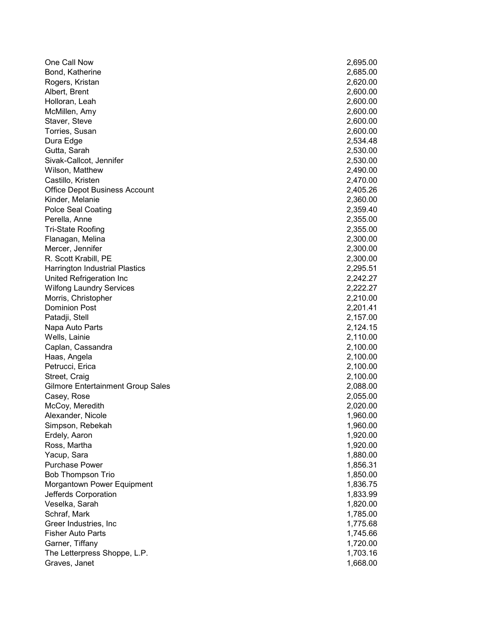| One Call Now                             | 2,695.00 |
|------------------------------------------|----------|
| Bond, Katherine                          | 2,685.00 |
| Rogers, Kristan                          | 2,620.00 |
| Albert, Brent                            | 2,600.00 |
| Holloran, Leah                           | 2,600.00 |
| McMillen, Amy                            | 2,600.00 |
| Staver, Steve                            | 2,600.00 |
| Torries, Susan                           | 2,600.00 |
| Dura Edge                                | 2,534.48 |
| Gutta, Sarah                             | 2,530.00 |
| Sivak-Callcot, Jennifer                  | 2,530.00 |
| Wilson, Matthew                          | 2,490.00 |
| Castillo, Kristen                        | 2,470.00 |
| <b>Office Depot Business Account</b>     | 2,405.26 |
| Kinder, Melanie                          | 2,360.00 |
| <b>Polce Seal Coating</b>                | 2,359.40 |
| Perella, Anne                            | 2,355.00 |
| <b>Tri-State Roofing</b>                 | 2,355.00 |
| Flanagan, Melina                         | 2,300.00 |
| Mercer, Jennifer                         | 2,300.00 |
| R. Scott Krabill, PE                     | 2,300.00 |
| <b>Harrington Industrial Plastics</b>    | 2,295.51 |
| United Refrigeration Inc                 | 2,242.27 |
| <b>Wilfong Laundry Services</b>          | 2,222.27 |
| Morris, Christopher                      | 2,210.00 |
| <b>Dominion Post</b>                     | 2,201.41 |
| Patadji, Stell                           | 2,157.00 |
| Napa Auto Parts                          | 2,124.15 |
| Wells, Lainie                            | 2,110.00 |
| Caplan, Cassandra                        | 2,100.00 |
| Haas, Angela                             | 2,100.00 |
| Petrucci, Erica                          | 2,100.00 |
| Street, Craig                            | 2,100.00 |
| <b>Gilmore Entertainment Group Sales</b> | 2,088.00 |
| Casey, Rose                              | 2,055.00 |
| McCoy, Meredith                          | 2,020.00 |
| Alexander, Nicole                        | 1,960.00 |
| Simpson, Rebekah                         | 1,960.00 |
| Erdely, Aaron                            | 1,920.00 |
| Ross, Martha                             | 1,920.00 |
| Yacup, Sara                              | 1,880.00 |
| <b>Purchase Power</b>                    | 1,856.31 |
| <b>Bob Thompson Trio</b>                 | 1,850.00 |
| Morgantown Power Equipment               | 1,836.75 |
| Jefferds Corporation                     | 1,833.99 |
| Veselka, Sarah                           | 1,820.00 |
| Schraf, Mark                             | 1,785.00 |
| Greer Industries, Inc                    | 1,775.68 |
| <b>Fisher Auto Parts</b>                 | 1,745.66 |
| Garner, Tiffany                          | 1,720.00 |
| The Letterpress Shoppe, L.P.             | 1,703.16 |
| Graves, Janet                            | 1,668.00 |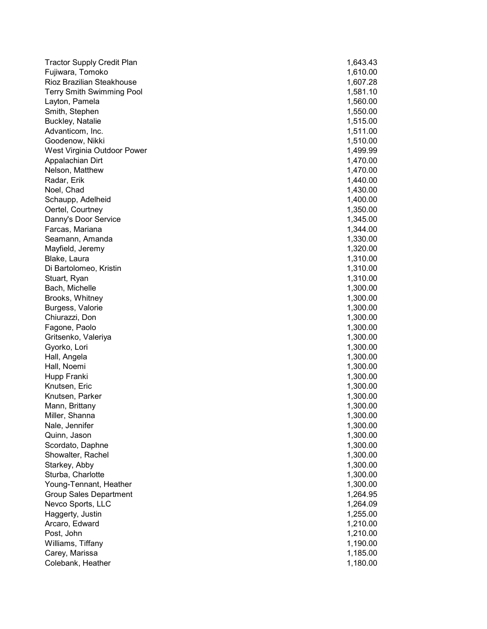| <b>Tractor Supply Credit Plan</b><br>1,610.00<br>Fujiwara, Tomoko<br>Rioz Brazilian Steakhouse<br>1,607.28<br><b>Terry Smith Swimming Pool</b><br>1,581.10<br>1,560.00<br>Layton, Pamela<br>Smith, Stephen<br>1,550.00<br>Buckley, Natalie<br>1,515.00<br>Advanticom, Inc.<br>1,511.00<br>Goodenow, Nikki<br>1,510.00<br>West Virginia Outdoor Power<br>1,499.99<br>Appalachian Dirt<br>1,470.00<br>Nelson, Matthew<br>1,470.00<br>Radar, Erik<br>1,440.00<br>Noel, Chad<br>1,430.00<br>Schaupp, Adelheid<br>1,400.00<br>Oertel, Courtney<br>1,350.00<br>Danny's Door Service<br>1,345.00<br>Farcas, Mariana<br>1,344.00<br>Seamann, Amanda<br>1,330.00 |
|---------------------------------------------------------------------------------------------------------------------------------------------------------------------------------------------------------------------------------------------------------------------------------------------------------------------------------------------------------------------------------------------------------------------------------------------------------------------------------------------------------------------------------------------------------------------------------------------------------------------------------------------------------|
|                                                                                                                                                                                                                                                                                                                                                                                                                                                                                                                                                                                                                                                         |
|                                                                                                                                                                                                                                                                                                                                                                                                                                                                                                                                                                                                                                                         |
|                                                                                                                                                                                                                                                                                                                                                                                                                                                                                                                                                                                                                                                         |
|                                                                                                                                                                                                                                                                                                                                                                                                                                                                                                                                                                                                                                                         |
|                                                                                                                                                                                                                                                                                                                                                                                                                                                                                                                                                                                                                                                         |
|                                                                                                                                                                                                                                                                                                                                                                                                                                                                                                                                                                                                                                                         |
|                                                                                                                                                                                                                                                                                                                                                                                                                                                                                                                                                                                                                                                         |
|                                                                                                                                                                                                                                                                                                                                                                                                                                                                                                                                                                                                                                                         |
|                                                                                                                                                                                                                                                                                                                                                                                                                                                                                                                                                                                                                                                         |
|                                                                                                                                                                                                                                                                                                                                                                                                                                                                                                                                                                                                                                                         |
|                                                                                                                                                                                                                                                                                                                                                                                                                                                                                                                                                                                                                                                         |
|                                                                                                                                                                                                                                                                                                                                                                                                                                                                                                                                                                                                                                                         |
|                                                                                                                                                                                                                                                                                                                                                                                                                                                                                                                                                                                                                                                         |
|                                                                                                                                                                                                                                                                                                                                                                                                                                                                                                                                                                                                                                                         |
|                                                                                                                                                                                                                                                                                                                                                                                                                                                                                                                                                                                                                                                         |
|                                                                                                                                                                                                                                                                                                                                                                                                                                                                                                                                                                                                                                                         |
|                                                                                                                                                                                                                                                                                                                                                                                                                                                                                                                                                                                                                                                         |
|                                                                                                                                                                                                                                                                                                                                                                                                                                                                                                                                                                                                                                                         |
| 1,320.00<br>Mayfield, Jeremy                                                                                                                                                                                                                                                                                                                                                                                                                                                                                                                                                                                                                            |
| Blake, Laura<br>1,310.00                                                                                                                                                                                                                                                                                                                                                                                                                                                                                                                                                                                                                                |
| Di Bartolomeo, Kristin<br>1,310.00                                                                                                                                                                                                                                                                                                                                                                                                                                                                                                                                                                                                                      |
| 1,310.00<br>Stuart, Ryan                                                                                                                                                                                                                                                                                                                                                                                                                                                                                                                                                                                                                                |
| Bach, Michelle<br>1,300.00                                                                                                                                                                                                                                                                                                                                                                                                                                                                                                                                                                                                                              |
| Brooks, Whitney<br>1,300.00                                                                                                                                                                                                                                                                                                                                                                                                                                                                                                                                                                                                                             |
| Burgess, Valorie<br>1,300.00                                                                                                                                                                                                                                                                                                                                                                                                                                                                                                                                                                                                                            |
| 1,300.00<br>Chiurazzi, Don                                                                                                                                                                                                                                                                                                                                                                                                                                                                                                                                                                                                                              |
| Fagone, Paolo<br>1,300.00                                                                                                                                                                                                                                                                                                                                                                                                                                                                                                                                                                                                                               |
| Gritsenko, Valeriya<br>1,300.00                                                                                                                                                                                                                                                                                                                                                                                                                                                                                                                                                                                                                         |
| Gyorko, Lori<br>1,300.00                                                                                                                                                                                                                                                                                                                                                                                                                                                                                                                                                                                                                                |
| 1,300.00<br>Hall, Angela                                                                                                                                                                                                                                                                                                                                                                                                                                                                                                                                                                                                                                |
| 1,300.00<br>Hall, Noemi                                                                                                                                                                                                                                                                                                                                                                                                                                                                                                                                                                                                                                 |
| 1,300.00<br>Hupp Franki                                                                                                                                                                                                                                                                                                                                                                                                                                                                                                                                                                                                                                 |
| Knutsen, Eric<br>1,300.00                                                                                                                                                                                                                                                                                                                                                                                                                                                                                                                                                                                                                               |
| Knutsen, Parker<br>1,300.00                                                                                                                                                                                                                                                                                                                                                                                                                                                                                                                                                                                                                             |
| Mann, Brittany<br>1,300.00                                                                                                                                                                                                                                                                                                                                                                                                                                                                                                                                                                                                                              |
| Miller, Shanna<br>1,300.00                                                                                                                                                                                                                                                                                                                                                                                                                                                                                                                                                                                                                              |
| Nale, Jennifer<br>1,300.00                                                                                                                                                                                                                                                                                                                                                                                                                                                                                                                                                                                                                              |
| 1,300.00<br>Quinn, Jason                                                                                                                                                                                                                                                                                                                                                                                                                                                                                                                                                                                                                                |
| 1,300.00<br>Scordato, Daphne                                                                                                                                                                                                                                                                                                                                                                                                                                                                                                                                                                                                                            |
| Showalter, Rachel<br>1,300.00                                                                                                                                                                                                                                                                                                                                                                                                                                                                                                                                                                                                                           |
| Starkey, Abby<br>1,300.00                                                                                                                                                                                                                                                                                                                                                                                                                                                                                                                                                                                                                               |
| Sturba, Charlotte<br>1,300.00                                                                                                                                                                                                                                                                                                                                                                                                                                                                                                                                                                                                                           |
| Young-Tennant, Heather<br>1,300.00                                                                                                                                                                                                                                                                                                                                                                                                                                                                                                                                                                                                                      |
| <b>Group Sales Department</b><br>1,264.95                                                                                                                                                                                                                                                                                                                                                                                                                                                                                                                                                                                                               |
| Nevco Sports, LLC<br>1,264.09                                                                                                                                                                                                                                                                                                                                                                                                                                                                                                                                                                                                                           |
| Haggerty, Justin<br>1,255.00                                                                                                                                                                                                                                                                                                                                                                                                                                                                                                                                                                                                                            |
| Arcaro, Edward<br>1,210.00                                                                                                                                                                                                                                                                                                                                                                                                                                                                                                                                                                                                                              |
| Post, John<br>1,210.00                                                                                                                                                                                                                                                                                                                                                                                                                                                                                                                                                                                                                                  |
| 1,190.00<br>Williams, Tiffany                                                                                                                                                                                                                                                                                                                                                                                                                                                                                                                                                                                                                           |
| Carey, Marissa<br>1,185.00                                                                                                                                                                                                                                                                                                                                                                                                                                                                                                                                                                                                                              |
| Colebank, Heather<br>1,180.00                                                                                                                                                                                                                                                                                                                                                                                                                                                                                                                                                                                                                           |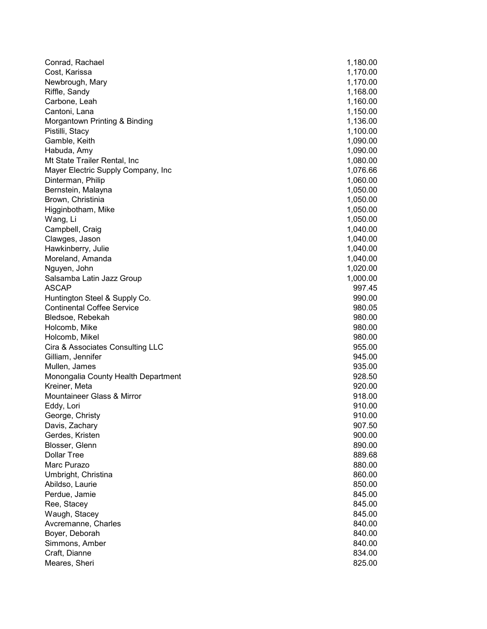| Conrad, Rachael                     | 1,180.00 |
|-------------------------------------|----------|
| Cost, Karissa                       | 1,170.00 |
| Newbrough, Mary                     | 1,170.00 |
| Riffle, Sandy                       | 1,168.00 |
| Carbone, Leah                       | 1,160.00 |
| Cantoni, Lana                       | 1,150.00 |
| Morgantown Printing & Binding       | 1,136.00 |
| Pistilli, Stacy                     | 1,100.00 |
| Gamble, Keith                       | 1,090.00 |
| Habuda, Amy                         | 1,090.00 |
| Mt State Trailer Rental, Inc        | 1,080.00 |
| Mayer Electric Supply Company, Inc  | 1,076.66 |
| Dinterman, Philip                   | 1,060.00 |
| Bernstein, Malayna                  | 1,050.00 |
| Brown, Christinia                   | 1,050.00 |
| Higginbotham, Mike                  | 1,050.00 |
| Wang, Li                            | 1,050.00 |
| Campbell, Craig                     | 1,040.00 |
| Clawges, Jason                      | 1,040.00 |
| Hawkinberry, Julie                  | 1,040.00 |
| Moreland, Amanda                    | 1,040.00 |
| Nguyen, John                        | 1,020.00 |
| Salsamba Latin Jazz Group           | 1,000.00 |
| <b>ASCAP</b>                        | 997.45   |
| Huntington Steel & Supply Co.       | 990.00   |
| <b>Continental Coffee Service</b>   | 980.05   |
| Bledsoe, Rebekah                    | 980.00   |
| Holcomb, Mike                       | 980.00   |
| Holcomb, Mikel                      | 980.00   |
| Cira & Associates Consulting LLC    | 955.00   |
| Gilliam, Jennifer                   | 945.00   |
| Mullen, James                       | 935.00   |
| Monongalia County Health Department | 928.50   |
| Kreiner, Meta                       | 920.00   |
| Mountaineer Glass & Mirror          | 918.00   |
| Eddy, Lori                          | 910.00   |
| George, Christy                     | 910.00   |
| Davis, Zachary                      | 907.50   |
| Gerdes, Kristen                     | 900.00   |
| Blosser, Glenn                      | 890.00   |
| <b>Dollar Tree</b>                  | 889.68   |
| Marc Purazo                         | 880.00   |
| Umbright, Christina                 | 860.00   |
| Abildso, Laurie                     | 850.00   |
| Perdue, Jamie                       | 845.00   |
| Ree, Stacey                         | 845.00   |
| Waugh, Stacey                       | 845.00   |
| Avcremanne, Charles                 | 840.00   |
| Boyer, Deborah                      | 840.00   |
| Simmons, Amber                      | 840.00   |
| Craft, Dianne                       | 834.00   |
| Meares, Sheri                       | 825.00   |
|                                     |          |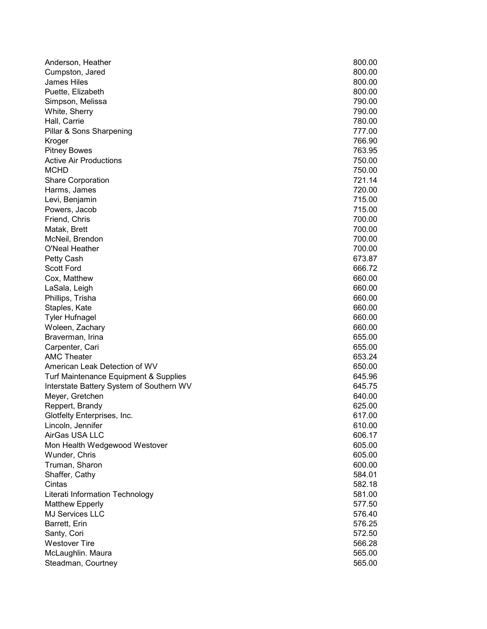| Anderson, Heather                        | 800.00 |
|------------------------------------------|--------|
| Cumpston, Jared                          | 800.00 |
| <b>James Hiles</b>                       | 800.00 |
| Puette, Elizabeth                        | 800.00 |
| Simpson, Melissa                         | 790.00 |
| White, Sherry                            | 790.00 |
| Hall, Carrie                             | 780.00 |
| Pillar & Sons Sharpening                 | 777.00 |
| Kroger                                   | 766.90 |
| <b>Pitney Bowes</b>                      | 763.95 |
| <b>Active Air Productions</b>            | 750.00 |
| <b>MCHD</b>                              | 750.00 |
| <b>Share Corporation</b>                 | 721.14 |
| Harms, James                             | 720.00 |
| Levi, Benjamin                           | 715.00 |
| Powers, Jacob                            | 715.00 |
| Friend, Chris                            | 700.00 |
| Matak, Brett                             | 700.00 |
| McNeil, Brendon                          | 700.00 |
| O'Neal Heather                           | 700.00 |
| Petty Cash                               | 673.87 |
| <b>Scott Ford</b>                        | 666.72 |
| Cox, Matthew                             | 660.00 |
| LaSala, Leigh                            | 660.00 |
| Phillips, Trisha                         | 660.00 |
| Staples, Kate                            | 660.00 |
| <b>Tyler Hufnagel</b>                    | 660.00 |
| Woleen, Zachary                          | 660.00 |
| Braverman, Irina                         | 655.00 |
| Carpenter, Cari                          | 655.00 |
| <b>AMC Theater</b>                       | 653.24 |
| American Leak Detection of WV            | 650.00 |
| Turf Maintenance Equipment & Supplies    | 645.96 |
| Interstate Battery System of Southern WV | 645.75 |
| Meyer, Gretchen                          | 640.00 |
| Reppert, Brandy                          | 625.00 |
| Glotfelty Enterprises, Inc.              | 617.00 |
| Lincoln, Jennifer                        | 610.00 |
| AirGas USA LLC                           | 606.17 |
| Mon Health Wedgewood Westover            | 605.00 |
| Wunder, Chris                            | 605.00 |
| Truman, Sharon                           | 600.00 |
| Shaffer, Cathy                           | 584.01 |
| Cintas                                   | 582.18 |
| Literati Information Technology          | 581.00 |
| Matthew Epperly                          | 577.50 |
| <b>MJ Services LLC</b>                   | 576.40 |
| Barrett, Erin                            | 576.25 |
| Santy, Cori                              | 572.50 |
| <b>Westover Tire</b>                     | 566.28 |
| McLaughlin. Maura                        | 565.00 |
| Steadman, Courtney                       | 565.00 |
|                                          |        |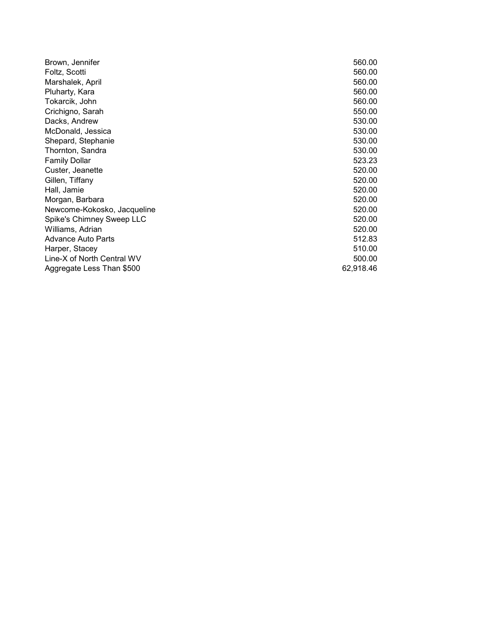| Brown, Jennifer             | 560.00    |
|-----------------------------|-----------|
| Foltz, Scotti               | 560.00    |
| Marshalek, April            | 560.00    |
| Pluharty, Kara              | 560.00    |
| Tokarcik, John              | 560.00    |
| Crichigno, Sarah            | 550.00    |
| Dacks, Andrew               | 530.00    |
| McDonald, Jessica           | 530.00    |
| Shepard, Stephanie          | 530.00    |
| Thornton, Sandra            | 530.00    |
| <b>Family Dollar</b>        | 523.23    |
| Custer, Jeanette            | 520.00    |
| Gillen, Tiffany             | 520.00    |
| Hall, Jamie                 | 520.00    |
| Morgan, Barbara             | 520.00    |
| Newcome-Kokosko, Jacqueline | 520.00    |
| Spike's Chimney Sweep LLC   | 520.00    |
| Williams, Adrian            | 520.00    |
| Advance Auto Parts          | 512.83    |
| Harper, Stacey              | 510.00    |
| Line-X of North Central WV  | 500.00    |
| Aggregate Less Than \$500   | 62,918.46 |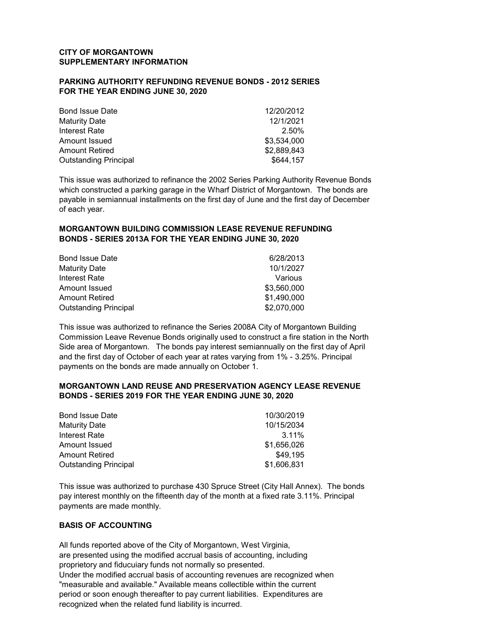### CITY OF MORGANTOWN SUPPLEMENTARY INFORMATION

### PARKING AUTHORITY REFUNDING REVENUE BONDS - 2012 SERIES FOR THE YEAR ENDING JUNE 30, 2020

| <b>Bond Issue Date</b>       | 12/20/2012  |
|------------------------------|-------------|
| <b>Maturity Date</b>         | 12/1/2021   |
| Interest Rate                | 2.50%       |
| Amount Issued                | \$3,534,000 |
| <b>Amount Retired</b>        | \$2,889,843 |
| <b>Outstanding Principal</b> | \$644,157   |

This issue was authorized to refinance the 2002 Series Parking Authority Revenue Bonds which constructed a parking garage in the Wharf District of Morgantown. The bonds are payable in semiannual installments on the first day of June and the first day of December of each year.

### MORGANTOWN BUILDING COMMISSION LEASE REVENUE REFUNDING BONDS - SERIES 2013A FOR THE YEAR ENDING JUNE 30, 2020

| <b>Bond Issue Date</b>       | 6/28/2013   |
|------------------------------|-------------|
| <b>Maturity Date</b>         | 10/1/2027   |
| Interest Rate                | Various     |
| Amount Issued                | \$3,560,000 |
| <b>Amount Retired</b>        | \$1,490,000 |
| <b>Outstanding Principal</b> | \$2,070,000 |

This issue was authorized to refinance the Series 2008A City of Morgantown Building Commission Leave Revenue Bonds originally used to construct a fire station in the North Side area of Morgantown. The bonds pay interest semiannually on the first day of April and the first day of October of each year at rates varying from 1% - 3.25%. Principal payments on the bonds are made annually on October 1.

### MORGANTOWN LAND REUSE AND PRESERVATION AGENCY LEASE REVENUE BONDS - SERIES 2019 FOR THE YEAR ENDING JUNE 30, 2020

| <b>Bond Issue Date</b>       | 10/30/2019  |
|------------------------------|-------------|
| <b>Maturity Date</b>         | 10/15/2034  |
| Interest Rate                | 3.11%       |
| Amount Issued                | \$1.656.026 |
| <b>Amount Retired</b>        | \$49.195    |
| <b>Outstanding Principal</b> | \$1,606,831 |

This issue was authorized to purchase 430 Spruce Street (City Hall Annex). The bonds pay interest monthly on the fifteenth day of the month at a fixed rate 3.11%. Principal payments are made monthly.

### BASIS OF ACCOUNTING

All funds reported above of the City of Morgantown, West Virginia, are presented using the modified accrual basis of accounting, including proprietory and fiducuiary funds not normally so presented. Under the modified accrual basis of accounting revenues are recognized when "measurable and available." Available means collectible within the current period or soon enough thereafter to pay current liabilities. Expenditures are recognized when the related fund liability is incurred.